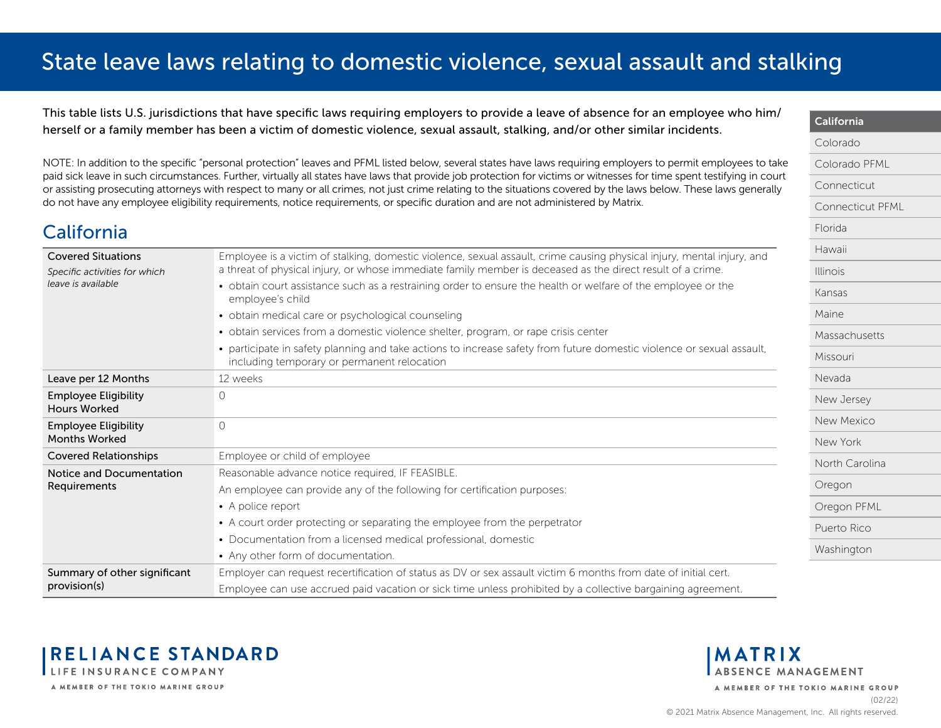<span id="page-0-0"></span>This table lists U.S. jurisdictions that have specific laws requiring employers to provide a leave of absence for an employee who him/ herself or a family member has been a victim of domestic violence, sexual assault, stalking, and/or other similar incidents.

NOTE: In addition to the specific "personal protection" leaves and PFML listed below, several states have laws requiring employers to permit employees to take paid sick leave in such circumstances. Further, virtually all states have laws that provide job protection for victims or witnesses for time spent testifying in court or assisting prosecuting attorneys with respect to many or all crimes, not just crime relating to the situations covered by the laws below. These laws generally do not have any employee eligibility requirements, notice requirements, or specific duration and are not administered by Matrix.

### California

| <b>Covered Situations</b><br>Specific activities for which | Employee is a victim of stalking, domestic violence, sexual assault, crime causing physical injury, mental injury, and<br>a threat of physical injury, or whose immediate family member is deceased as the direct result of a crime. |
|------------------------------------------------------------|--------------------------------------------------------------------------------------------------------------------------------------------------------------------------------------------------------------------------------------|
| leave is available                                         | • obtain court assistance such as a restraining order to ensure the health or welfare of the employee or the<br>employee's child                                                                                                     |
|                                                            | • obtain medical care or psychological counseling                                                                                                                                                                                    |
|                                                            | · obtain services from a domestic violence shelter, program, or rape crisis center                                                                                                                                                   |
|                                                            | • participate in safety planning and take actions to increase safety from future domestic violence or sexual assault,<br>including temporary or permanent relocation                                                                 |
| Leave per 12 Months                                        | 12 weeks                                                                                                                                                                                                                             |
| <b>Employee Eligibility</b><br><b>Hours Worked</b>         | $\Omega$                                                                                                                                                                                                                             |
| <b>Employee Eligibility</b><br><b>Months Worked</b>        | $\Omega$                                                                                                                                                                                                                             |
| <b>Covered Relationships</b>                               | Employee or child of employee                                                                                                                                                                                                        |
| Notice and Documentation                                   | Reasonable advance notice required, IF FEASIBLE.                                                                                                                                                                                     |
| Requirements                                               | An employee can provide any of the following for certification purposes:                                                                                                                                                             |
|                                                            | • A police report                                                                                                                                                                                                                    |
|                                                            | • A court order protecting or separating the employee from the perpetrator                                                                                                                                                           |
|                                                            | • Documentation from a licensed medical professional, domestic                                                                                                                                                                       |
|                                                            | • Any other form of documentation.                                                                                                                                                                                                   |
| Summary of other significant                               | Employer can request recertification of status as DV or sex assault victim 6 months from date of initial cert.                                                                                                                       |
| provision(s)                                               | Employee can use accrued paid vacation or sick time unless prohibited by a collective bargaining agreement.                                                                                                                          |





A MEMBER OF THE TOKIO MARINE GROUP

California [Colorado](#page-1-0)

[Florida](#page-5-0) [Hawaii](#page-6-0) [Illinois](#page-7-0) [Kansas](#page-8-0) [Maine](#page-9-0)

[Colorado PFML](#page-2-0) [Connecticut](#page-3-0)

[Connecticut PFML](#page-4-0)

[Massachusetts](#page-10-0)

[Missouri](#page-11-0) [Nevada](#page-12-0)

[New Jersey](#page-13-0) [New Mexico](#page-14-0) [New York](#page-15-0)

[North Carolina](#page-16-0)

[Oregon PFML](#page-18-0) [Puerto Rico](#page-19-0) [Washington](#page-20-0)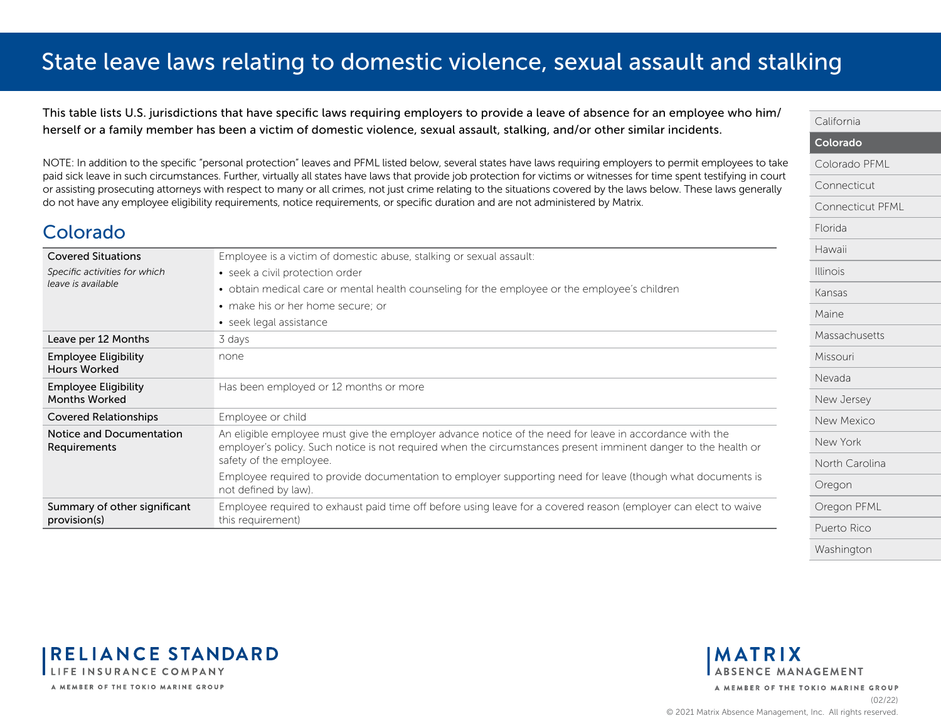<span id="page-1-0"></span>This table lists U.S. jurisdictions that have specific laws requiring employers to provide a leave of absence for an employee who him/ herself or a family member has been a victim of domestic violence, sexual assault, stalking, and/or other similar incidents.

NOTE: In addition to the specific "personal protection" leaves and PFML listed below, several states have laws requiring employers to permit employees to take paid sick leave in such circumstances. Further, virtually all states have laws that provide job protection for victims or witnesses for time spent testifying in court or assisting prosecuting attorneys with respect to many or all crimes, not just crime relating to the situations covered by the laws below. These laws generally do not have any employee eligibility requirements, notice requirements, or specific duration and are not administered by Matrix.

| <b>Covered Situations</b>                           | Employee is a victim of domestic abuse, stalking or sexual assault:                                                                                                                                                                                  |
|-----------------------------------------------------|------------------------------------------------------------------------------------------------------------------------------------------------------------------------------------------------------------------------------------------------------|
| Specific activities for which                       | • seek a civil protection order                                                                                                                                                                                                                      |
| leave is available                                  | • obtain medical care or mental health counseling for the employee or the employee's children                                                                                                                                                        |
|                                                     | • make his or her home secure: or                                                                                                                                                                                                                    |
|                                                     | • seek legal assistance                                                                                                                                                                                                                              |
| Leave per 12 Months                                 | 3 days                                                                                                                                                                                                                                               |
| <b>Employee Eligibility</b><br><b>Hours Worked</b>  | none                                                                                                                                                                                                                                                 |
| <b>Employee Eligibility</b><br><b>Months Worked</b> | Has been employed or 12 months or more                                                                                                                                                                                                               |
| <b>Covered Relationships</b>                        | Employee or child                                                                                                                                                                                                                                    |
| Notice and Documentation<br>Requirements            | An eligible employee must give the employer advance notice of the need for leave in accordance with the<br>employer's policy. Such notice is not required when the circumstances present imminent danger to the health or<br>safety of the employee. |
|                                                     | Employee required to provide documentation to employer supporting need for leave (though what documents is<br>not defined by law).                                                                                                                   |
| Summary of other significant<br>provision(s)        | Employee required to exhaust paid time off before using leave for a covered reason (employer can elect to waive<br>this requirement)                                                                                                                 |



**RELIANCE STANDARD** LIFE INSURANCE COMPANY A MEMBER OF THE TOKIO MARINE GROUP

Colorado

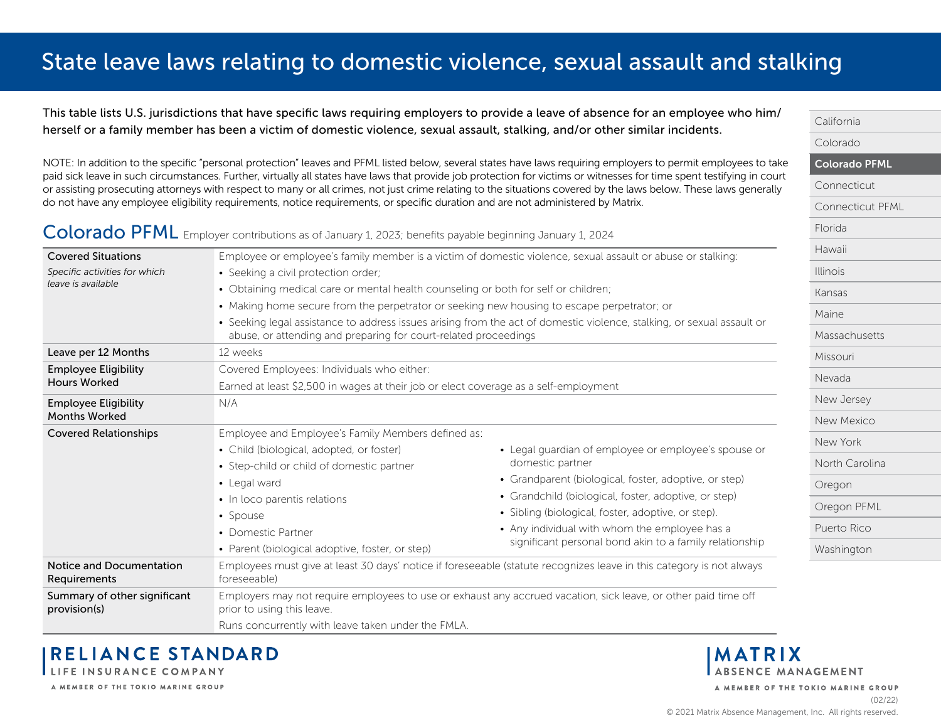<span id="page-2-0"></span>This table lists U.S. jurisdictions that have specific laws requiring employers to provide a leave of absence for an employee who him/ herself or a family member has been a victim of domestic violence, sexual assault, stalking, and/or other similar incidents.

NOTE: In addition to the specific "personal protection" leaves and PFML listed below, several states have laws requiring employers to permit employees to take paid sick leave in such circumstances. Further, virtually all states have laws that provide job protection for victims or witnesses for time spent testifying in court or assisting prosecuting attorneys with respect to many or all crimes, not just crime relating to the situations covered by the laws below. These laws generally do not have any employee eligibility requirements, notice requirements, or specific duration and are not administered by Matrix.

#### Colorado PFML Emplover contributions as of January 1, 2023; benefits payable beginning January 1, 2024

| <b>Covered Situations</b>                       |                                                                                            | Employee or employee's family member is a victim of domestic violence, sexual assault or abuse or stalking:            | Hawaii          |
|-------------------------------------------------|--------------------------------------------------------------------------------------------|------------------------------------------------------------------------------------------------------------------------|-----------------|
| Specific activities for which                   | • Seeking a civil protection order;                                                        |                                                                                                                        | <b>Illinois</b> |
| leave is available                              | • Obtaining medical care or mental health counseling or both for self or children;         |                                                                                                                        | Kansas          |
|                                                 | • Making home secure from the perpetrator or seeking new housing to escape perpetrator; or |                                                                                                                        | Maine           |
|                                                 | abuse, or attending and preparing for court-related proceedings                            | • Seeking legal assistance to address issues arising from the act of domestic violence, stalking, or sexual assault or | Massachusetts   |
| Leave per 12 Months                             | 12 weeks                                                                                   |                                                                                                                        | Missouri        |
| <b>Employee Eligibility</b>                     | Covered Employees: Individuals who either:                                                 |                                                                                                                        |                 |
| <b>Hours Worked</b>                             | Earned at least \$2,500 in wages at their job or elect coverage as a self-employment       |                                                                                                                        | Nevada          |
| <b>Employee Eligibility</b>                     | N/A                                                                                        |                                                                                                                        | New Jersey      |
| <b>Months Worked</b>                            |                                                                                            |                                                                                                                        | New Mexico      |
| <b>Covered Relationships</b>                    | Employee and Employee's Family Members defined as:                                         |                                                                                                                        | New York        |
|                                                 | • Child (biological, adopted, or foster)                                                   | • Legal guardian of employee or employee's spouse or                                                                   |                 |
|                                                 | • Step-child or child of domestic partner                                                  | domestic partner                                                                                                       | North Carolina  |
|                                                 | • Legal ward                                                                               | • Grandparent (biological, foster, adoptive, or step)                                                                  | Oregon          |
|                                                 | • In loco parentis relations                                                               | • Grandchild (biological, foster, adoptive, or step)                                                                   | Oregon PFML     |
|                                                 | • Spouse                                                                                   | • Sibling (biological, foster, adoptive, or step).                                                                     |                 |
|                                                 | • Domestic Partner                                                                         | • Any individual with whom the employee has a                                                                          | Puerto Rico     |
|                                                 | • Parent (biological adoptive, foster, or step)                                            | significant personal bond akin to a family relationship                                                                | Washington      |
| Notice and Documentation<br><b>Requirements</b> | foreseeable)                                                                               | Employees must give at least 30 days' notice if foreseeable (statute recognizes leave in this category is not always   |                 |
| Summary of other significant<br>provision(s)    | prior to using this leave.                                                                 | Employers may not require employees to use or exhaust any accrued vacation, sick leave, or other paid time off         |                 |
|                                                 | Runs concurrently with leave taken under the FMLA.                                         |                                                                                                                        |                 |

A MEMBER OF THE TOKIO MARINE GROUP



[California](#page-0-0) [Colorado](#page-1-0)

Colorado PFML

[Connecticut PFML](#page-4-0)

[Connecticut](#page-3-0)

[Florida](#page-5-0)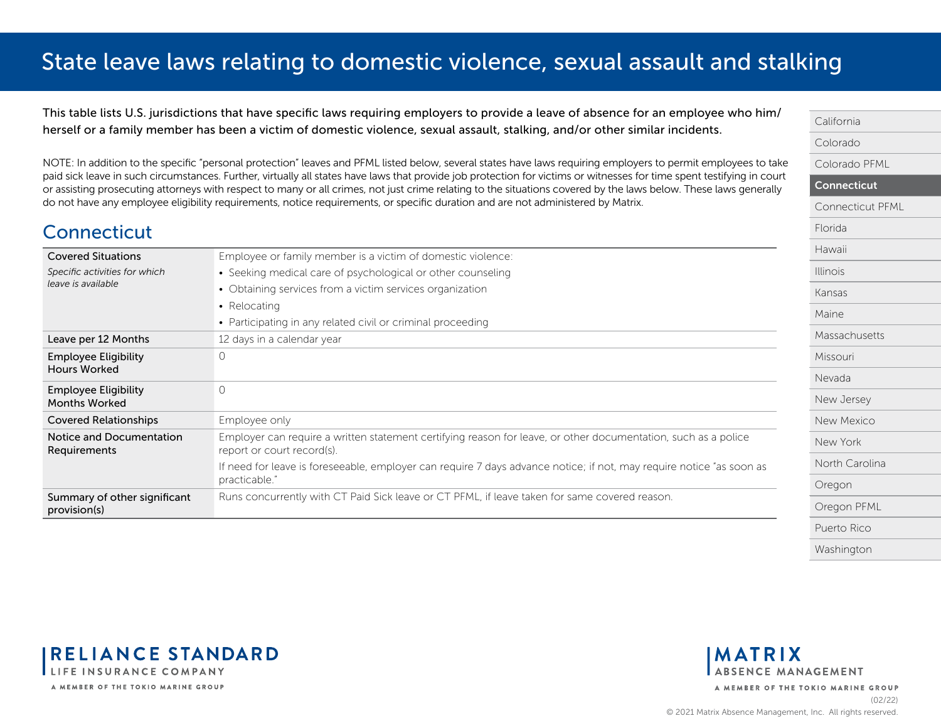<span id="page-3-0"></span>This table lists U.S. jurisdictions that have specific laws requiring employers to provide a leave of absence for an employee who him/ herself or a family member has been a victim of domestic violence, sexual assault, stalking, and/or other similar incidents.

NOTE: In addition to the specific "personal protection" leaves and PFML listed below, several states have laws requiring employers to permit employees to take paid sick leave in such circumstances. Further, virtually all states have laws that provide job protection for victims or witnesses for time spent testifying in court or assisting prosecuting attorneys with respect to many or all crimes, not just crime relating to the situations covered by the laws below. These laws generally do not have any employee eligibility requirements, notice requirements, or specific duration and are not administered by Matrix.

|  | Connecticut |
|--|-------------|
|  |             |

| <b>Covered Situations</b>                           | Employee or family member is a victim of domestic violence:                                                                                  |
|-----------------------------------------------------|----------------------------------------------------------------------------------------------------------------------------------------------|
| Specific activities for which                       | • Seeking medical care of psychological or other counseling                                                                                  |
| leave is available                                  | • Obtaining services from a victim services organization                                                                                     |
|                                                     | • Relocating                                                                                                                                 |
|                                                     | • Participating in any related civil or criminal proceeding                                                                                  |
| Leave per 12 Months                                 | 12 days in a calendar year                                                                                                                   |
| <b>Employee Eligibility</b><br><b>Hours Worked</b>  | 0                                                                                                                                            |
| <b>Employee Eligibility</b><br><b>Months Worked</b> | 0                                                                                                                                            |
| <b>Covered Relationships</b>                        | Employee only                                                                                                                                |
| Notice and Documentation<br>Requirements            | Employer can require a written statement certifying reason for leave, or other documentation, such as a police<br>report or court record(s). |
|                                                     | If need for leave is foreseeable, employer can require 7 days advance notice; if not, may require notice "as soon as<br>practicable."        |
| Summary of other significant<br>provision(s)        | Runs concurrently with CT Paid Sick leave or CT PFML, if leave taken for same covered reason.                                                |





**MATRIX ABSENCE MANAGEMENT**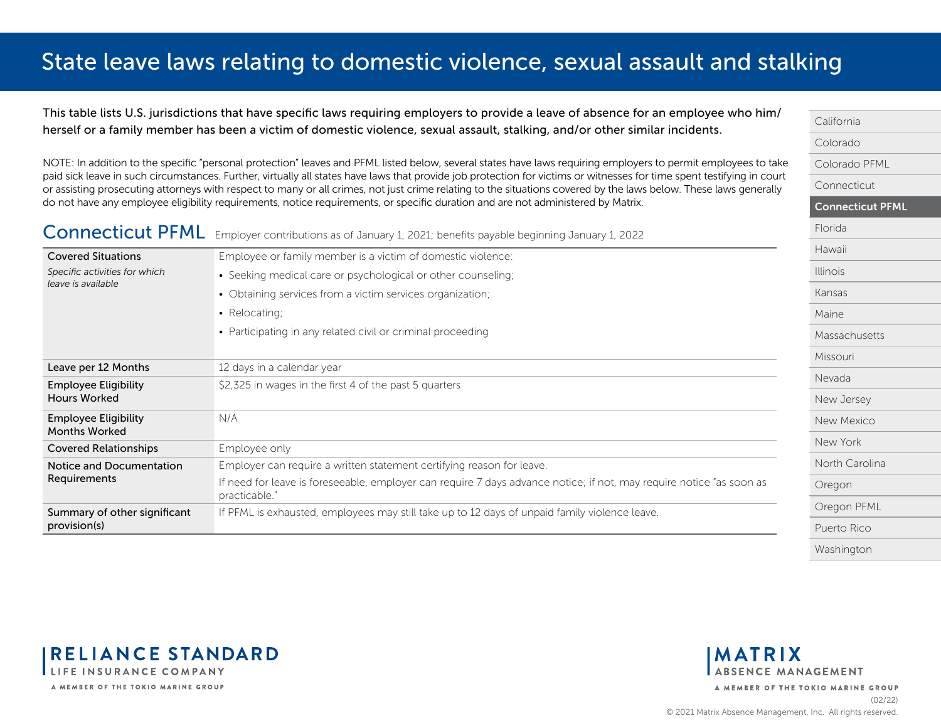<span id="page-4-0"></span>This table lists U.S. jurisdictions that have specific laws requiring employers to provide a leave of absence for an employee who him/ herself or a family member has been a victim of domestic violence, sexual assault, stalking, and/or other similar incidents.

NOTE: In addition to the specific "personal protection" leaves and PFML listed below, several states have laws requiring employers to permit employees to take paid sick leave in such circumstances. Further, virtually all states have laws that provide job protection for victims or witnesses for time spent testifying in court or assisting prosecuting attorneys with respect to many or all crimes, not just crime relating to the situations covered by the laws below. These laws generally do not have any employee eligibility requirements, notice requirements, or specific duration and are not administered by Matrix.

| <b>Connecticut PFML</b>                             | Employer contributions as of January 1, 2021; benefits payable beginning January 1, 2022                                              | Florida         |
|-----------------------------------------------------|---------------------------------------------------------------------------------------------------------------------------------------|-----------------|
| <b>Covered Situations</b>                           | Employee or family member is a victim of domestic violence:                                                                           | Hawaii          |
| Specific activities for which                       | • Seeking medical care or psychological or other counseling;                                                                          | <b>Illinois</b> |
| leave is available                                  | • Obtaining services from a victim services organization;                                                                             | Kansas          |
|                                                     | • Relocating;                                                                                                                         | Maine           |
|                                                     | • Participating in any related civil or criminal proceeding                                                                           | Massachusetts   |
|                                                     |                                                                                                                                       | Missouri        |
| Leave per 12 Months                                 | 12 days in a calendar year                                                                                                            |                 |
| <b>Employee Eligibility</b>                         | \$2,325 in wages in the first 4 of the past 5 quarters                                                                                | Nevada          |
| <b>Hours Worked</b>                                 |                                                                                                                                       | New Jersey      |
| <b>Employee Eligibility</b><br><b>Months Worked</b> | N/A                                                                                                                                   | New Mexico      |
| <b>Covered Relationships</b>                        | Employee only                                                                                                                         | New York        |
| Notice and Documentation                            | Employer can require a written statement certifying reason for leave.                                                                 | North Carolina  |
| Requirements                                        | If need for leave is foreseeable, employer can require 7 days advance notice; if not, may require notice "as soon as<br>practicable." | Oregon          |
| Summary of other significant                        | If PFML is exhausted, employees may still take up to 12 days of unpaid family violence leave.                                         | Oregon PFML     |
| provision(s)                                        |                                                                                                                                       | Puerto Rico     |
|                                                     |                                                                                                                                       |                 |



[California](#page-0-0) [Colorado](#page-1-0)

[Colorado PFML](#page-2-0) [Connecticut](#page-3-0)

Connecticut PFML



**MATRIX** ABSENCE MANAGEMENT A MEMBER OF THE TOKIO MARINE GROUP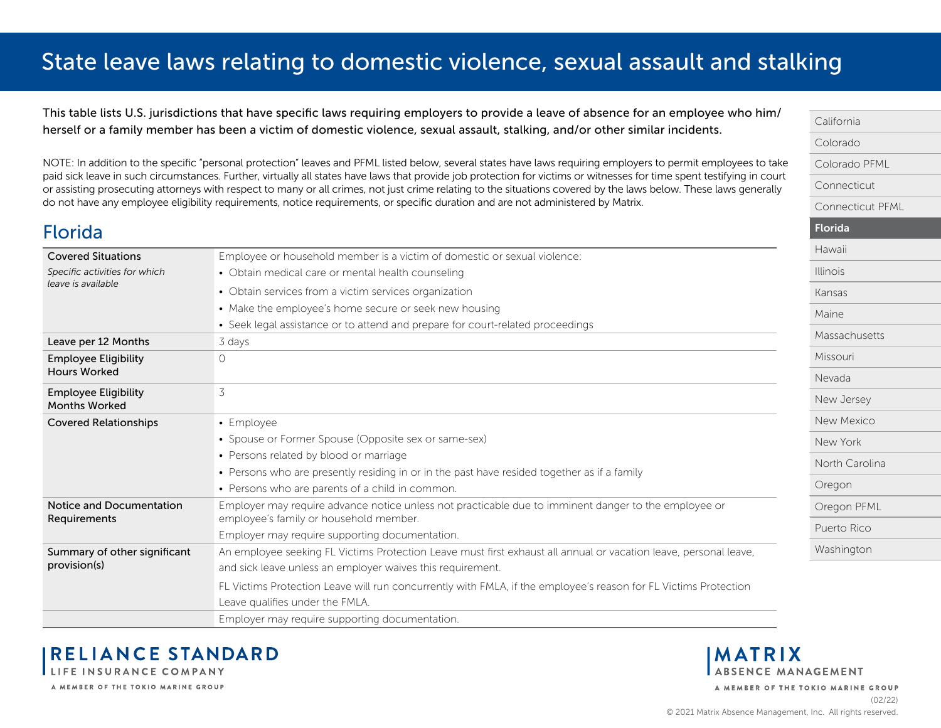<span id="page-5-0"></span>This table lists U.S. jurisdictions that have specific laws requiring employers to provide a leave of absence for an employee who him/ herself or a family member has been a victim of domestic violence, sexual assault, stalking, and/or other similar incidents.

NOTE: In addition to the specific "personal protection" leaves and PFML listed below, several states have laws requiring employers to permit employees to take paid sick leave in such circumstances. Further, virtually all states have laws that provide job protection for victims or witnesses for time spent testifying in court or assisting prosecuting attorneys with respect to many or all crimes, not just crime relating to the situations covered by the laws below. These laws generally do not have any employee eligibility requirements, notice requirements, or specific duration and are not administered by Matrix.

#### Florida Covered Situations *Specific activities for which leave is available* Employee or household member is a victim of domestic or sexual violence: • Obtain medical care or mental health counseling • Obtain services from a victim services organization • Make the employee's home secure or seek new housing • Seek legal assistance or to attend and prepare for court-related proceedings Leave per 12 Months 3 days Employee Eligibility Hours Worked  $\Omega$ Employee Eligibility Months Worked 3 Covered Relationships • Employee • Spouse or Former Spouse (Opposite sex or same-sex) • Persons related by blood or marriage • Persons who are presently residing in or in the past have resided together as if a family • Persons who are parents of a child in common. Notice and Documentation Requirements Employer may require advance notice unless not practicable due to imminent danger to the employee or employee's family or household member. Employer may require supporting documentation. Summary of other significant provision(s) An employee seeking FL Victims Protection Leave must first exhaust all annual or vacation leave, personal leave, and sick leave unless an employer waives this requirement. FL Victims Protection Leave will run concurrently with FMLA, if the employee's reason for FL Victims Protection Leave qualifies under the FMLA. Employer may require supporting documentation.



A MEMBER OF THE TOKIO MARINE GROUP

A MEMBER OF THE TOKIO MARINE GROUP

[California](#page-0-0) [Colorado](#page-1-0)

Florida [Hawaii](#page-6-0) [Illinois](#page-7-0) [Kansas](#page-8-0) [Maine](#page-9-0)

[Colorado PFML](#page-2-0) [Connecticut](#page-3-0)

[Connecticut PFML](#page-4-0)

[Massachusetts](#page-10-0)

[Missouri](#page-11-0) [Nevada](#page-12-0)

[New Jersey](#page-13-0) [New Mexico](#page-14-0) [New York](#page-15-0)

[North Carolina](#page-16-0)

[Oregon PFML](#page-18-0) [Puerto Rico](#page-19-0) [Washington](#page-20-0)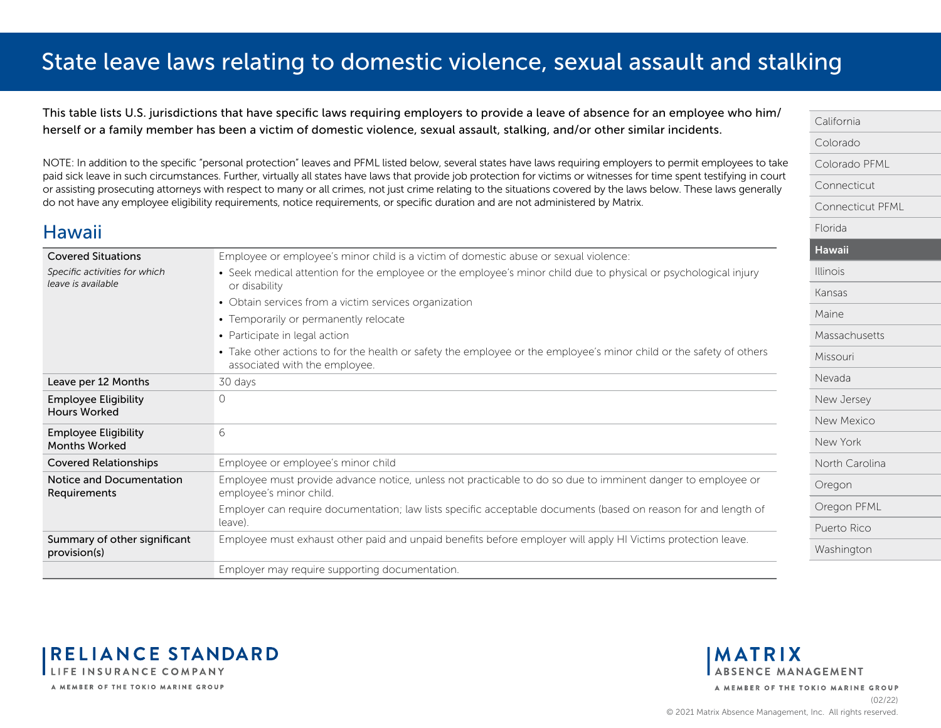<span id="page-6-0"></span>This table lists U.S. jurisdictions that have specific laws requiring employers to provide a leave of absence for an employee who him/ herself or a family member has been a victim of domestic violence, sexual assault, stalking, and/or other similar incidents.

NOTE: In addition to the specific "personal protection" leaves and PFML listed below, several states have laws requiring employers to permit employees to take paid sick leave in such circumstances. Further, virtually all states have laws that provide job protection for victims or witnesses for time spent testifying in court or assisting prosecuting attorneys with respect to many or all crimes, not just crime relating to the situations covered by the laws below. These laws generally do not have any employee eligibility requirements, notice requirements, or specific duration and are not administered by Matrix.

#### Covered Situations *Specific activities for which leave is available* Employee or employee's minor child is a victim of domestic abuse or sexual violence: • Seek medical attention for the employee or the employee's minor child due to physical or psychological injury or disability • Obtain services from a victim services organization • Temporarily or permanently relocate • Participate in legal action • Take other actions to for the health or safety the employee or the employee's minor child or the safety of others associated with the employee. Leave per 12 Months 30 days Employee Eligibility Hours Worked  $\Omega$ Employee Eligibility Months Worked 6 Covered Relationships Employee or employee's minor child Notice and Documentation Requirements Employee must provide advance notice, unless not practicable to do so due to imminent danger to employee or employee's minor child. Employer can require documentation; law lists specific acceptable documents (based on reason for and length of

leave). Summary of other significant provision(s) Employee must exhaust other paid and unpaid benefits before employer will apply HI Victims protection leave. Employer may require supporting documentation.

[California](#page-0-0) [Colorado](#page-1-0) [Colorado PFML](#page-2-0) [Connecticut](#page-3-0) [Connecticut PFML](#page-4-0) [Florida](#page-5-0) Hawaii [Illinois](#page-7-0) [Kansas](#page-8-0) [Maine](#page-9-0) [Massachusetts](#page-10-0) [Missouri](#page-11-0) [Nevada](#page-12-0) [New Jersey](#page-13-0) [New Mexico](#page-14-0) [New York](#page-15-0) [North Carolina](#page-16-0) [Oregon](#page-17-0) [Oregon PFML](#page-18-0) [Puerto Rico](#page-19-0) [Washington](#page-20-0)



Hawaii

**MATRIX** ABSENCE MANAGEMENT

A MEMBER OF THE TOKIO MARINE GROUP (02/22)

© 2021 Matrix Absence Management, Inc. All rights reserved.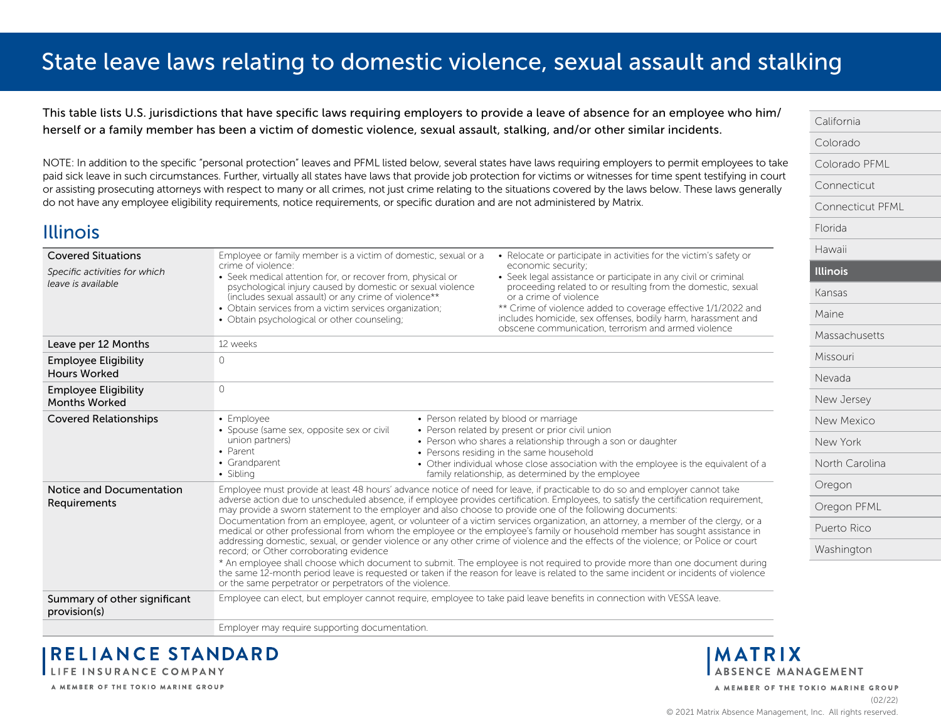<span id="page-7-0"></span>This table lists U.S. jurisdictions that have specific laws requiring employers to provide a leave of absence for an employee who him/ herself or a family member has been a victim of domestic violence, sexual assault, stalking, and/or other similar incidents.

NOTE: In addition to the specific "personal protection" leaves and PFML listed below, several states have laws requiring employers to permit employees to take paid sick leave in such circumstances. Further, virtually all states have laws that provide job protection for victims or witnesses for time spent testifying in court or assisting prosecuting attorneys with respect to many or all crimes, not just crime relating to the situations covered by the laws below. These laws generally do not have any employee eligibility requirements, notice requirements, or specific duration and are not administered by Matrix.

| <b>Covered Situations</b>                           | Employee or family member is a victim of domestic, sexual or a<br>crime of violence:                                                                                             | • Relocate or participate in activities for the victim's safety or<br>economic security;                                                                                                                                                                                                                                                                                                             |
|-----------------------------------------------------|----------------------------------------------------------------------------------------------------------------------------------------------------------------------------------|------------------------------------------------------------------------------------------------------------------------------------------------------------------------------------------------------------------------------------------------------------------------------------------------------------------------------------------------------------------------------------------------------|
| Specific activities for which<br>leave is available | • Seek medical attention for, or recover from, physical or<br>psychological injury caused by domestic or sexual violence<br>(includes sexual assault) or any crime of violence** | • Seek legal assistance or participate in any civil or criminal<br>proceeding related to or resulting from the domestic, sexual<br>or a crime of violence                                                                                                                                                                                                                                            |
|                                                     | • Obtain services from a victim services organization;<br>• Obtain psychological or other counseling;                                                                            | ** Crime of violence added to coverage effective 1/1/2022 and<br>includes homicide, sex offenses, bodily harm, harassment and<br>obscene communication, terrorism and armed violence                                                                                                                                                                                                                 |
| Leave per 12 Months                                 | 12 weeks                                                                                                                                                                         |                                                                                                                                                                                                                                                                                                                                                                                                      |
| <b>Employee Eligibility</b><br><b>Hours Worked</b>  | $\Omega$                                                                                                                                                                         |                                                                                                                                                                                                                                                                                                                                                                                                      |
| <b>Employee Eligibility</b><br><b>Months Worked</b> | $\Omega$                                                                                                                                                                         |                                                                                                                                                                                                                                                                                                                                                                                                      |
| <b>Covered Relationships</b>                        | • Employee<br>• Spouse (same sex, opposite sex or civil<br>union partners)<br>• Parent<br>• Grandparent<br>• Sibling                                                             | • Person related by blood or marriage<br>• Person related by present or prior civil union<br>• Person who shares a relationship through a son or daughter<br>• Persons residing in the same household<br>• Other individual whose close association with the employee is the equivalent of a<br>family relationship, as determined by the employee                                                   |
| Notice and Documentation<br>Requirements            | may provide a sworn statement to the employer and also choose to provide one of the following documents:                                                                         | Employee must provide at least 48 hours' advance notice of need for leave, if practicable to do so and employer cannot take<br>adverse action due to unscheduled absence, if employee provides certification. Employees, to satisfy the certification requirement,                                                                                                                                   |
|                                                     | record; or Other corroborating evidence                                                                                                                                          | Documentation from an employee, agent, or volunteer of a victim services organization, an attorney, a member of the clergy, or a<br>medical or other professional from whom the employee or the employee's family or household member has sought assistance in<br>addressing domestic, sexual, or gender violence or any other crime of violence and the effects of the violence; or Police or court |
|                                                     | or the same perpetrator or perpetrators of the violence.                                                                                                                         | * An employee shall choose which document to submit. The employee is not required to provide more than one document during<br>the same 12-month period leave is requested or taken if the reason for leave is related to the same incident or incidents of violence                                                                                                                                  |
| Summary of other significant<br>provision(s)        | Employee can elect, but employer cannot require, employee to take paid leave benefits in connection with VESSA leave.                                                            |                                                                                                                                                                                                                                                                                                                                                                                                      |
|                                                     | Employer may require supporting documentation.                                                                                                                                   |                                                                                                                                                                                                                                                                                                                                                                                                      |

**RELIANCE STANDARD** LIFE INSURANCE COMPANY

A MEMBER OF THE TOKIO MARINE GROUP

**MATRIX** ABSENCE MANAGEMENT

[California](#page-0-0) [Colorado](#page-1-0)

[Florida](#page-5-0) [Hawaii](#page-6-0) Illinois [Kansas](#page-8-0) [Maine](#page-9-0)

[Colorado PFML](#page-2-0) [Connecticut](#page-3-0)

[Connecticut PFML](#page-4-0)

[Massachusetts](#page-10-0)

[Missouri](#page-11-0) [Nevada](#page-12-0)

[New Jersey](#page-13-0) [New Mexico](#page-14-0) [New York](#page-15-0)

[North Carolina](#page-16-0)

[Oregon PFML](#page-18-0) [Puerto Rico](#page-19-0) [Washington](#page-20-0)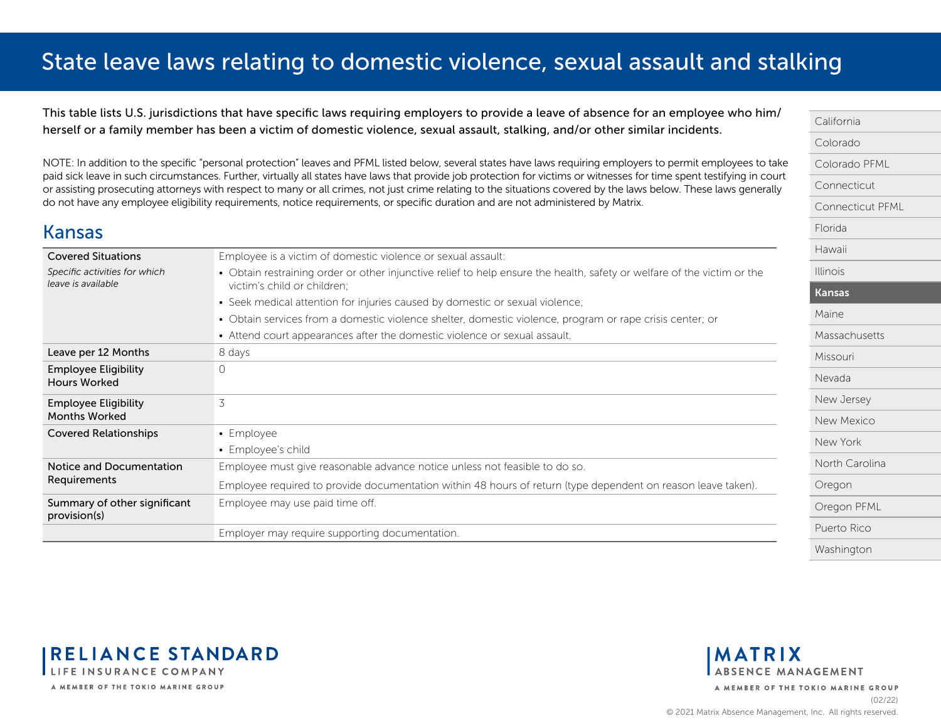<span id="page-8-0"></span>This table lists U.S. jurisdictions that have specific laws requiring employers to provide a leave of absence for an employee who him/ herself or a family member has been a victim of domestic violence, sexual assault, stalking, and/or other similar incidents.

NOTE: In addition to the specific "personal protection" leaves and PFML listed below, several states have laws requiring employers to permit employees to take paid sick leave in such circumstances. Further, virtually all states have laws that provide job protection for victims or witnesses for time spent testifying in court or assisting prosecuting attorneys with respect to many or all crimes, not just crime relating to the situations covered by the laws below. These laws generally do not have any employee eligibility requirements, notice requirements, or specific duration and are not administered by Matrix.

### Kansas

| <b>Covered Situations</b>                           | Employee is a victim of domestic violence or sexual assault:                                                                                           |
|-----------------------------------------------------|--------------------------------------------------------------------------------------------------------------------------------------------------------|
| Specific activities for which<br>leave is available | • Obtain restraining order or other injunctive relief to help ensure the health, safety or welfare of the victim or the<br>victim's child or children; |
|                                                     | • Seek medical attention for injuries caused by domestic or sexual violence;                                                                           |
|                                                     | • Obtain services from a domestic violence shelter, domestic violence, program or rape crisis center; or                                               |
|                                                     | • Attend court appearances after the domestic violence or sexual assault.                                                                              |
| Leave per 12 Months                                 | 8 days                                                                                                                                                 |
| <b>Employee Eligibility</b><br><b>Hours Worked</b>  | $\Omega$                                                                                                                                               |
| <b>Employee Eligibility</b><br><b>Months Worked</b> | 3                                                                                                                                                      |
| <b>Covered Relationships</b>                        | • Employee                                                                                                                                             |
|                                                     | • Employee's child                                                                                                                                     |
| Notice and Documentation                            | Employee must give reasonable advance notice unless not feasible to do so.                                                                             |
| Requirements                                        | Employee required to provide documentation within 48 hours of return (type dependent on reason leave taken).                                           |
| Summary of other significant<br>provision(s)        | Employee may use paid time off.                                                                                                                        |
|                                                     | Employer may require supporting documentation.                                                                                                         |



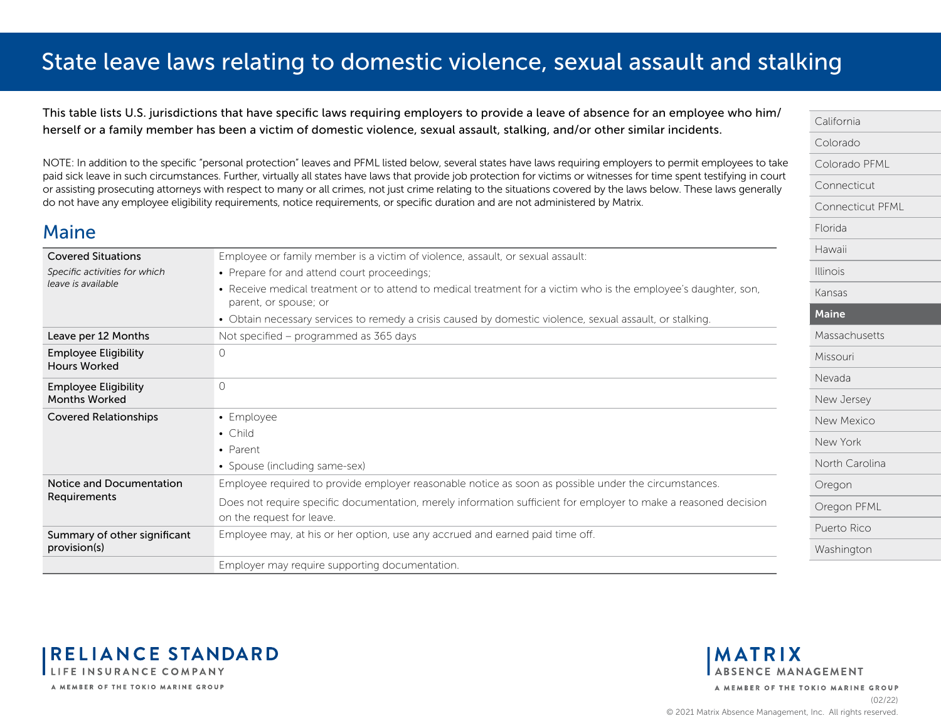<span id="page-9-0"></span>This table lists U.S. jurisdictions that have specific laws requiring employers to provide a leave of absence for an employee who him/ herself or a family member has been a victim of domestic violence, sexual assault, stalking, and/or other similar incidents.

NOTE: In addition to the specific "personal protection" leaves and PFML listed below, several states have laws requiring employers to permit employees to take paid sick leave in such circumstances. Further, virtually all states have laws that provide job protection for victims or witnesses for time spent testifying in court or assisting prosecuting attorneys with respect to many or all crimes, not just crime relating to the situations covered by the laws below. These laws generally do not have any employee eligibility requirements, notice requirements, or specific duration and are not administered by Matrix.

| <b>Covered Situations</b>                           | Employee or family member is a victim of violence, assault, or sexual assault:                                                           |
|-----------------------------------------------------|------------------------------------------------------------------------------------------------------------------------------------------|
| Specific activities for which                       | • Prepare for and attend court proceedings;                                                                                              |
| leave is available                                  | • Receive medical treatment or to attend to medical treatment for a victim who is the employee's daughter, son,<br>parent, or spouse; or |
|                                                     | • Obtain necessary services to remedy a crisis caused by domestic violence, sexual assault, or stalking.                                 |
| Leave per 12 Months                                 | Not specified – programmed as 365 days                                                                                                   |
| <b>Employee Eligibility</b><br><b>Hours Worked</b>  | $\Omega$                                                                                                                                 |
| <b>Employee Eligibility</b><br><b>Months Worked</b> | $\Omega$                                                                                                                                 |
| <b>Covered Relationships</b>                        | • Employee                                                                                                                               |
|                                                     | • Child                                                                                                                                  |
|                                                     | • Parent                                                                                                                                 |
|                                                     | • Spouse (including same-sex)                                                                                                            |
| Notice and Documentation<br>Requirements            | Employee required to provide employer reasonable notice as soon as possible under the circumstances.                                     |
|                                                     | Does not require specific documentation, merely information sufficient for employer to make a reasoned decision                          |
|                                                     | on the request for leave.                                                                                                                |
| Summary of other significant<br>provision(s)        | Employee may, at his or her option, use any accrued and earned paid time off.                                                            |
|                                                     | Employer may require supporting documentation.                                                                                           |



**RELIANCE STANDARD** LIFE INSURANCE COMPANY A MEMBER OF THE TOKIO MARINE GROUP

 $M<sub>pino</sub>$ 



A MEMBER OF THE TOKIO MARINE GROUP (02/22)

© 2021 Matrix Absence Management, Inc. All rights reserved.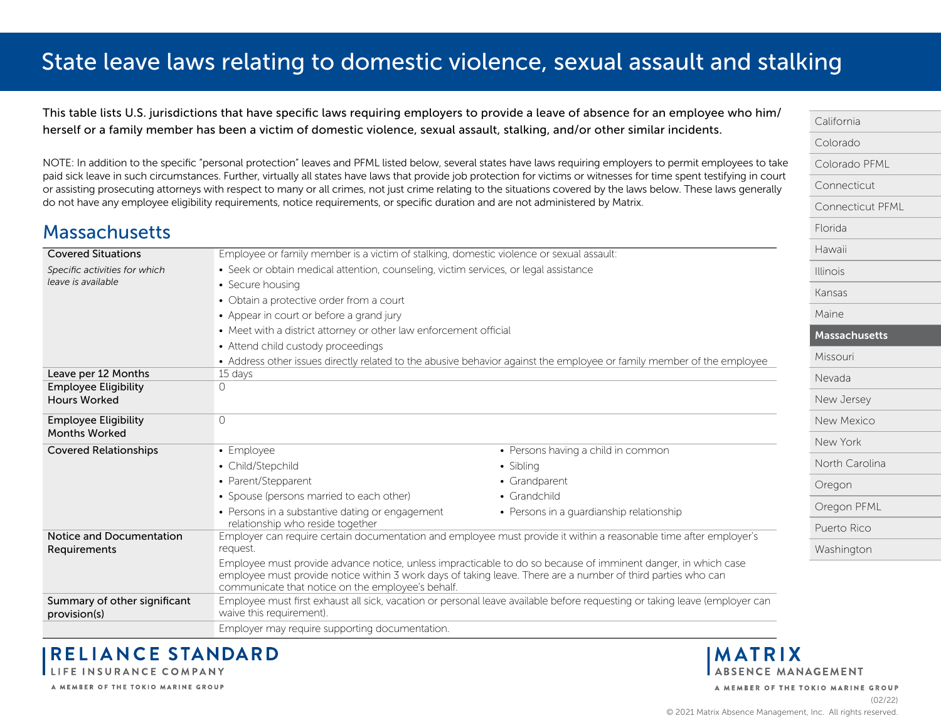<span id="page-10-0"></span>This table lists U.S. jurisdictions that have specific laws requiring employers to provide a leave of absence for an employee who him/ herself or a family member has been a victim of domestic violence, sexual assault, stalking, and/or other similar incidents.

NOTE: In addition to the specific "personal protection" leaves and PFML listed below, several states have laws requiring employers to permit employees to take paid sick leave in such circumstances. Further, virtually all states have laws that provide job protection for victims or witnesses for time spent testifying in court or assisting prosecuting attorneys with respect to many or all crimes, not just crime relating to the situations covered by the laws below. These laws generally do not have any employee eligibility requirements, notice requirements, or specific duration and are not administered by Matrix.

### **Massachusetts**

| <b>Covered Situations</b>                          | Employee or family member is a victim of stalking, domestic violence or sexual assault: |                                                                                                                                                                                                                               | Hawaii          |
|----------------------------------------------------|-----------------------------------------------------------------------------------------|-------------------------------------------------------------------------------------------------------------------------------------------------------------------------------------------------------------------------------|-----------------|
| Specific activities for which                      | • Seek or obtain medical attention, counseling, victim services, or legal assistance    |                                                                                                                                                                                                                               | <b>Illinois</b> |
| leave is available                                 | • Secure housing                                                                        |                                                                                                                                                                                                                               | Kansas          |
|                                                    | • Obtain a protective order from a court                                                |                                                                                                                                                                                                                               |                 |
|                                                    | • Appear in court or before a grand jury                                                |                                                                                                                                                                                                                               | Maine           |
|                                                    | • Meet with a district attorney or other law enforcement official                       |                                                                                                                                                                                                                               | Massachusetts   |
|                                                    | • Attend child custody proceedings                                                      |                                                                                                                                                                                                                               |                 |
|                                                    |                                                                                         | • Address other issues directly related to the abusive behavior against the employee or family member of the employee                                                                                                         | Missouri        |
| Leave per 12 Months                                | 15 days                                                                                 |                                                                                                                                                                                                                               | Nevada          |
| <b>Employee Eligibility</b><br><b>Hours Worked</b> | 0                                                                                       |                                                                                                                                                                                                                               |                 |
|                                                    |                                                                                         |                                                                                                                                                                                                                               | New Jersey      |
| <b>Employee Eligibility</b>                        | $\circ$                                                                                 |                                                                                                                                                                                                                               | New Mexico      |
| <b>Months Worked</b>                               |                                                                                         |                                                                                                                                                                                                                               | New York        |
| <b>Covered Relationships</b>                       | • Employee                                                                              | • Persons having a child in common                                                                                                                                                                                            |                 |
|                                                    | • Child/Stepchild                                                                       | • Sibling                                                                                                                                                                                                                     | North Carolina  |
|                                                    | • Parent/Stepparent                                                                     | • Grandparent                                                                                                                                                                                                                 | Oregon          |
|                                                    | • Spouse (persons married to each other)                                                | $\bullet$ Grandchild                                                                                                                                                                                                          |                 |
|                                                    | • Persons in a substantive dating or engagement                                         | • Persons in a guardianship relationship                                                                                                                                                                                      | Oregon PFML     |
| Notice and Documentation                           | relationship who reside together                                                        | Employer can require certain documentation and employee must provide it within a reasonable time after employer's                                                                                                             | Puerto Rico     |
| Requirements                                       | request.                                                                                |                                                                                                                                                                                                                               | Washington      |
|                                                    | communicate that notice on the employee's behalf.                                       | Employee must provide advance notice, unless impracticable to do so because of imminent danger, in which case<br>employee must provide notice within 3 work days of taking leave. There are a number of third parties who can |                 |
| Summary of other significant<br>provision(s)       | waive this requirement).                                                                | Employee must first exhaust all sick, vacation or personal leave available before requesting or taking leave (employer can                                                                                                    |                 |
|                                                    | Employer may require supporting documentation.                                          |                                                                                                                                                                                                                               |                 |

**RELIANCE STANDARD** LIFE INSURANCE COMPANY

A MEMBER OF THE TOKIO MARINE GROUP

[California](#page-0-0) [Colorado](#page-1-0)

[Florida](#page-5-0)

[Colorado PFML](#page-2-0) [Connecticut](#page-3-0)

[Connecticut PFML](#page-4-0)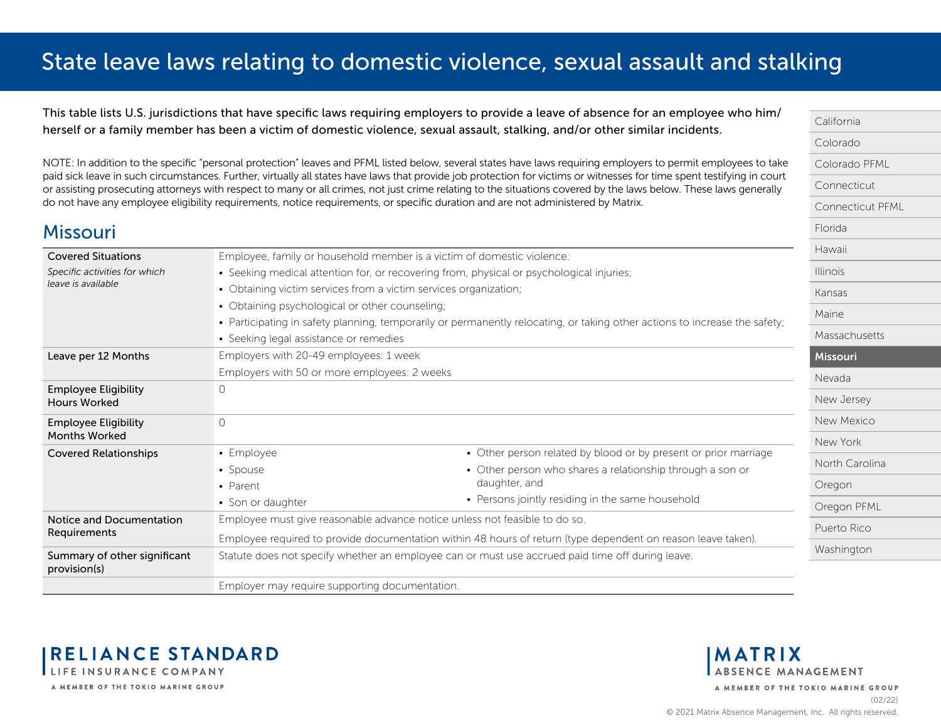<span id="page-11-0"></span>This table lists U.S. jurisdictions that have specific laws requiring employers to provide a leave of absence for an employee who him/ herself or a family member has been a victim of domestic violence, sexual assault, stalking, and/or other similar incidents.

NOTE: In addition to the specific "personal protection" leaves and PFML listed below, several states have laws requiring employers to permit employees to take paid sick leave in such circumstances. Further, virtually all states have laws that provide job protection for victims or witnesses for time spent testifying in court or assisting prosecuting attorneys with respect to many or all crimes, not just crime relating to the situations covered by the laws below. These laws generally do not have any employee eligibility requirements, notice requirements, or specific duration and are not administered by Matrix.

| <b>Missouri</b>                                    |                                                                  |                                                                                                                            | Florida         |
|----------------------------------------------------|------------------------------------------------------------------|----------------------------------------------------------------------------------------------------------------------------|-----------------|
| <b>Covered Situations</b>                          |                                                                  | Employee, family or household member is a victim of domestic violence:                                                     | Hawaii          |
| Specific activities for which                      |                                                                  | • Seeking medical attention for, or recovering from, physical or psychological injuries;                                   | <b>Illinois</b> |
| leave is available                                 | • Obtaining victim services from a victim services organization; |                                                                                                                            | Kansas          |
|                                                    | • Obtaining psychological or other counseling;                   |                                                                                                                            | Maine           |
|                                                    |                                                                  | • Participating in safety planning, temporarily or permanently relocating, or taking other actions to increase the safety; |                 |
|                                                    | • Seeking legal assistance or remedies                           |                                                                                                                            | Massachusetts   |
| Leave per 12 Months                                | Employers with 20-49 employees: 1 week                           |                                                                                                                            | Missouri        |
|                                                    | Employers with 50 or more employees: 2 weeks                     |                                                                                                                            | Nevada          |
| <b>Employee Eligibility</b><br><b>Hours Worked</b> | 0                                                                |                                                                                                                            | New Jersey      |
| <b>Employee Eligibility</b>                        | $\bigcap$                                                        |                                                                                                                            | New Mexico      |
| <b>Months Worked</b>                               |                                                                  |                                                                                                                            |                 |
| <b>Covered Relationships</b>                       | • Employee                                                       | • Other person related by blood or by present or prior marriage                                                            | New York        |
|                                                    | • Spouse                                                         | • Other person who shares a relationship through a son or                                                                  | North Carolina  |
|                                                    | • Parent                                                         | daughter, and                                                                                                              | Oregon          |
|                                                    | • Son or daughter                                                | • Persons jointly residing in the same household                                                                           | Oregon PFML     |
| Notice and Documentation                           |                                                                  | Employee must give reasonable advance notice unless not feasible to do so.                                                 | Puerto Rico     |
| Requirements                                       |                                                                  | Employee required to provide documentation within 48 hours of return (type dependent on reason leave taken).               |                 |
| Summary of other significant                       |                                                                  | Statute does not specify whether an employee can or must use accrued paid time off during leave.                           | Washington      |
| provision(s)                                       |                                                                  |                                                                                                                            |                 |
|                                                    | Employer may require supporting documentation.                   |                                                                                                                            |                 |



**MATRIX ABSENCE MANAGEMENT** 

A MEMBER OF THE TOKIO MARINE GROUP

[California](#page-0-0) [Colorado](#page-1-0)

[Florida](#page-5-0)

[Colorado PFML](#page-2-0) [Connecticut](#page-3-0)

[Connecticut PFML](#page-4-0)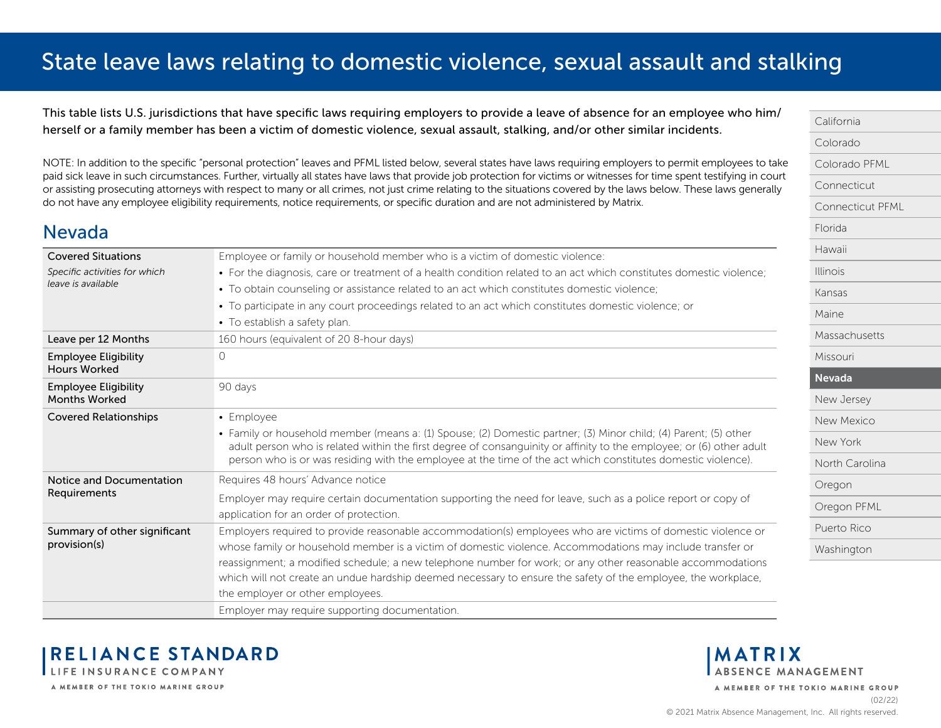<span id="page-12-0"></span>This table lists U.S. jurisdictions that have specific laws requiring employers to provide a leave of absence for an employee who him/ herself or a family member has been a victim of domestic violence, sexual assault, stalking, and/or other similar incidents.

NOTE: In addition to the specific "personal protection" leaves and PFML listed below, several states have laws requiring employers to permit employees to take paid sick leave in such circumstances. Further, virtually all states have laws that provide job protection for victims or witnesses for time spent testifying in court or assisting prosecuting attorneys with respect to many or all crimes, not just crime relating to the situations covered by the laws below. These laws generally do not have any employee eligibility requirements, notice requirements, or specific duration and are not administered by Matrix.

### Nevada

| <b>Covered Situations</b>                           | Employee or family or household member who is a victim of domestic violence:                                                                                                                                                                                                                                                                            |
|-----------------------------------------------------|---------------------------------------------------------------------------------------------------------------------------------------------------------------------------------------------------------------------------------------------------------------------------------------------------------------------------------------------------------|
| Specific activities for which                       | • For the diagnosis, care or treatment of a health condition related to an act which constitutes domestic violence;                                                                                                                                                                                                                                     |
| leave is available                                  | • To obtain counseling or assistance related to an act which constitutes domestic violence;                                                                                                                                                                                                                                                             |
|                                                     | • To participate in any court proceedings related to an act which constitutes domestic violence; or                                                                                                                                                                                                                                                     |
|                                                     | • To establish a safety plan.                                                                                                                                                                                                                                                                                                                           |
| Leave per 12 Months                                 | 160 hours (equivalent of 20 8-hour days)                                                                                                                                                                                                                                                                                                                |
| <b>Employee Eligibility</b><br><b>Hours Worked</b>  | $\bigcirc$                                                                                                                                                                                                                                                                                                                                              |
| <b>Employee Eligibility</b><br><b>Months Worked</b> | 90 days                                                                                                                                                                                                                                                                                                                                                 |
| <b>Covered Relationships</b>                        | • Employee                                                                                                                                                                                                                                                                                                                                              |
|                                                     | · Family or household member (means a: (1) Spouse; (2) Domestic partner; (3) Minor child; (4) Parent; (5) other<br>adult person who is related within the first degree of consanguinity or affinity to the employee; or (6) other adult<br>person who is or was residing with the employee at the time of the act which constitutes domestic violence). |
| Notice and Documentation                            | Requires 48 hours' Advance notice                                                                                                                                                                                                                                                                                                                       |
| Requirements                                        | Employer may require certain documentation supporting the need for leave, such as a police report or copy of                                                                                                                                                                                                                                            |
|                                                     | application for an order of protection.                                                                                                                                                                                                                                                                                                                 |
| Summary of other significant                        | Employers required to provide reasonable accommodation(s) employees who are victims of domestic violence or                                                                                                                                                                                                                                             |
| provision(s)                                        | whose family or household member is a victim of domestic violence. Accommodations may include transfer or                                                                                                                                                                                                                                               |
|                                                     | reassignment; a modified schedule; a new telephone number for work; or any other reasonable accommodations                                                                                                                                                                                                                                              |
|                                                     | which will not create an undue hardship deemed necessary to ensure the safety of the employee, the workplace,                                                                                                                                                                                                                                           |
|                                                     | the employer or other employees.                                                                                                                                                                                                                                                                                                                        |
|                                                     | Employer may require supporting documentation.                                                                                                                                                                                                                                                                                                          |



**MATRIX ABSENCE MANAGEMENT** 

A MEMBER OF THE TOKIO MARINE GROUP

[California](#page-0-0) [Colorado](#page-1-0)

[Florida](#page-5-0) [Hawaii](#page-6-0) [Illinois](#page-7-0) [Kansas](#page-8-0) [Maine](#page-9-0)

[Colorado PFML](#page-2-0) [Connecticut](#page-3-0)

[Connecticut PFML](#page-4-0)

[Massachusetts](#page-10-0)

[Missouri](#page-11-0) Nevada

[New Jersey](#page-13-0) [New Mexico](#page-14-0) [New York](#page-15-0)

[North Carolina](#page-16-0)

[Oregon PFML](#page-18-0) [Puerto Rico](#page-19-0) [Washington](#page-20-0)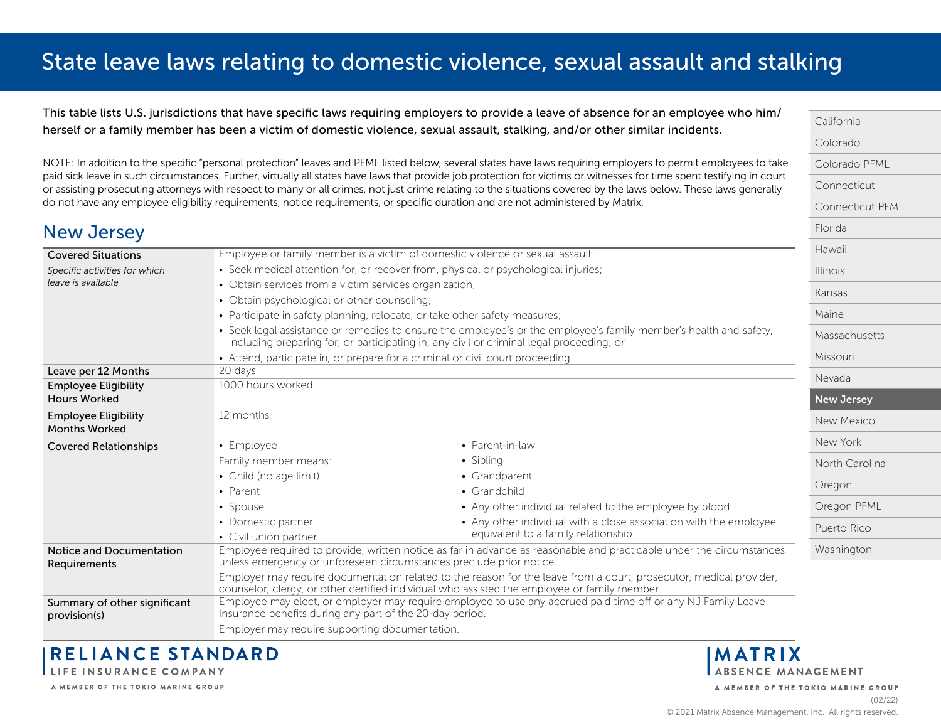<span id="page-13-0"></span>This table lists U.S. jurisdictions that have specific laws requiring employers to provide a leave of absence for an employee who him/ herself or a family member has been a victim of domestic violence, sexual assault, stalking, and/or other similar incidents.

NOTE: In addition to the specific "personal protection" leaves and PFML listed below, several states have laws requiring employers to permit employees to take paid sick leave in such circumstances. Further, virtually all states have laws that provide job protection for victims or witnesses for time spent testifying in court or assisting prosecuting attorneys with respect to many or all crimes, not just crime relating to the situations covered by the laws below. These laws generally do not have any employee eligibility requirements, notice requirements, or specific duration and are not administered by Matrix.

| <b>New Jersey</b>                                   |                                                                                                                                                                                                                   |                                                                               | Florida           |
|-----------------------------------------------------|-------------------------------------------------------------------------------------------------------------------------------------------------------------------------------------------------------------------|-------------------------------------------------------------------------------|-------------------|
| <b>Covered Situations</b>                           |                                                                                                                                                                                                                   | Employee or family member is a victim of domestic violence or sexual assault: | Hawaii            |
| Specific activities for which                       | • Seek medical attention for, or recover from, physical or psychological injuries;                                                                                                                                |                                                                               | <b>Illinois</b>   |
| leave is available                                  | • Obtain services from a victim services organization;                                                                                                                                                            |                                                                               |                   |
|                                                     | • Obtain psychological or other counseling;                                                                                                                                                                       |                                                                               | Kansas            |
|                                                     |                                                                                                                                                                                                                   | • Participate in safety planning, relocate, or take other safety measures;    |                   |
|                                                     | • Seek legal assistance or remedies to ensure the employee's or the employee's family member's health and safety,<br>including preparing for, or participating in, any civil or criminal legal proceeding; or     |                                                                               | Massachusetts     |
|                                                     |                                                                                                                                                                                                                   | • Attend, participate in, or prepare for a criminal or civil court proceeding |                   |
| Leave per 12 Months                                 | 20 days                                                                                                                                                                                                           |                                                                               | Nevada            |
| <b>Employee Eligibility</b>                         | 1000 hours worked                                                                                                                                                                                                 |                                                                               |                   |
| <b>Hours Worked</b>                                 |                                                                                                                                                                                                                   |                                                                               | <b>New Jersey</b> |
| <b>Employee Eligibility</b><br><b>Months Worked</b> | 12 months                                                                                                                                                                                                         |                                                                               | New Mexico        |
| <b>Covered Relationships</b>                        | • Employee                                                                                                                                                                                                        | • Parent-in-law                                                               | New York          |
|                                                     | Family member means:                                                                                                                                                                                              | • Sibling                                                                     | North Carolina    |
|                                                     | • Child (no age limit)                                                                                                                                                                                            | • Grandparent                                                                 |                   |
|                                                     | • Parent                                                                                                                                                                                                          | • Grandchild                                                                  | Oregon            |
|                                                     | • Spouse                                                                                                                                                                                                          | • Any other individual related to the employee by blood                       | Oregon PFML       |
|                                                     | • Domestic partner                                                                                                                                                                                                | • Any other individual with a close association with the employee             | Puerto Rico       |
|                                                     | • Civil union partner                                                                                                                                                                                             | equivalent to a family relationship                                           |                   |
| Notice and Documentation<br>Requirements            | Employee required to provide, written notice as far in advance as reasonable and practicable under the circumstances<br>unless emergency or unforeseen circumstances preclude prior notice.                       |                                                                               | Washington        |
|                                                     | Employer may require documentation related to the reason for the leave from a court, prosecutor, medical provider,<br>counselor, clergy, or other certified individual who assisted the employee or family member |                                                                               |                   |
| Summary of other significant<br>provision(s)        | Employee may elect, or employer may require employee to use any accrued paid time off or any NJ Family Leave<br>Insurance benefits during any part of the 20-day period.                                          |                                                                               |                   |
|                                                     | Employer may require supporting documentation.                                                                                                                                                                    |                                                                               |                   |

**RELIANCE STANDARD** LIFE INSURANCE COMPANY

A MEMBER OF THE TOKIO MARINE GROUP



A MEMBER OF THE TOKIO MARINE GROUP

[California](#page-0-0) [Colorado](#page-1-0)

[Colorado PFML](#page-2-0) [Connecticut](#page-3-0)

[Connecticut PFML](#page-4-0)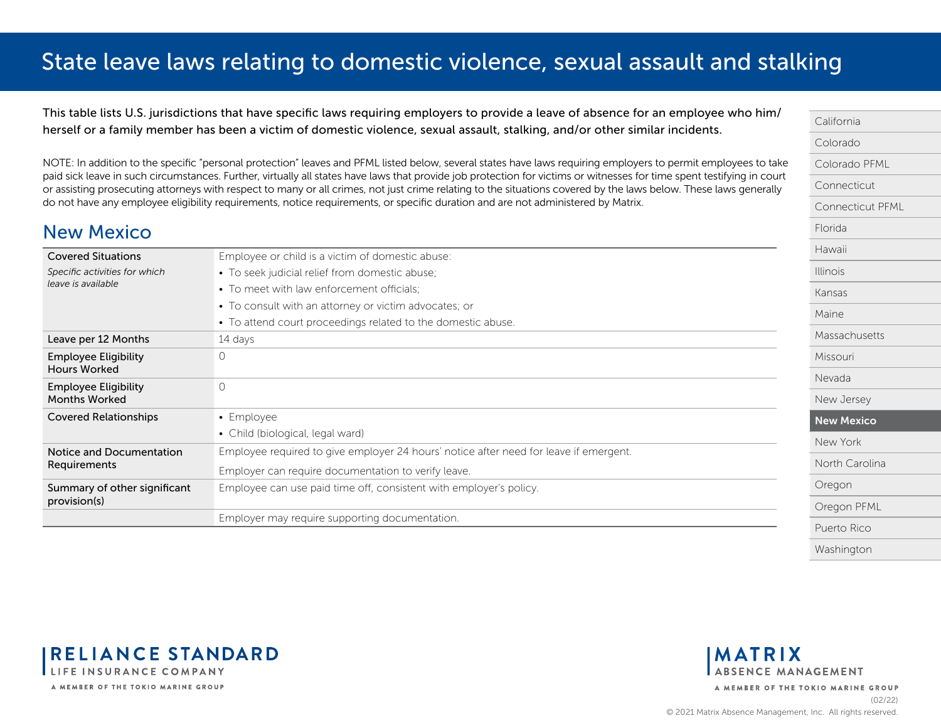<span id="page-14-0"></span>This table lists U.S. jurisdictions that have specific laws requiring employers to provide a leave of absence for an employee who him/ herself or a family member has been a victim of domestic violence, sexual assault, stalking, and/or other similar incidents.

NOTE: In addition to the specific "personal protection" leaves and PFML listed below, several states have laws requiring employers to permit employees to take paid sick leave in such circumstances. Further, virtually all states have laws that provide job protection for victims or witnesses for time spent testifying in court or assisting prosecuting attorneys with respect to many or all crimes, not just crime relating to the situations covered by the laws below. These laws generally do not have any employee eligibility requirements, notice requirements, or specific duration and are not administered by Matrix.

### New Mexico

| <b>Covered Situations</b>                           | Employee or child is a victim of domestic abuse:                                      |  |
|-----------------------------------------------------|---------------------------------------------------------------------------------------|--|
| Specific activities for which                       | • To seek judicial relief from domestic abuse,                                        |  |
| leave is available                                  | • To meet with law enforcement officials:                                             |  |
|                                                     | • To consult with an attorney or victim advocates; or                                 |  |
|                                                     | • To attend court proceedings related to the domestic abuse.                          |  |
| Leave per 12 Months                                 | 14 days                                                                               |  |
| <b>Employee Eligibility</b><br><b>Hours Worked</b>  |                                                                                       |  |
| <b>Employee Eligibility</b><br><b>Months Worked</b> | $\Omega$                                                                              |  |
| <b>Covered Relationships</b>                        | • Employee                                                                            |  |
|                                                     | • Child (biological, legal ward)                                                      |  |
| Notice and Documentation                            | Employee required to give employer 24 hours' notice after need for leave if emergent. |  |
| Requirements                                        | Employer can require documentation to verify leave.                                   |  |
| Summary of other significant<br>provision(s)        | Employee can use paid time off, consistent with employer's policy.                    |  |
|                                                     | Employer may require supporting documentation.                                        |  |



**RELIANCE STANDARD** LIFE INSURANCE COMPANY A MEMBER OF THE TOKIO MARINE GROUP

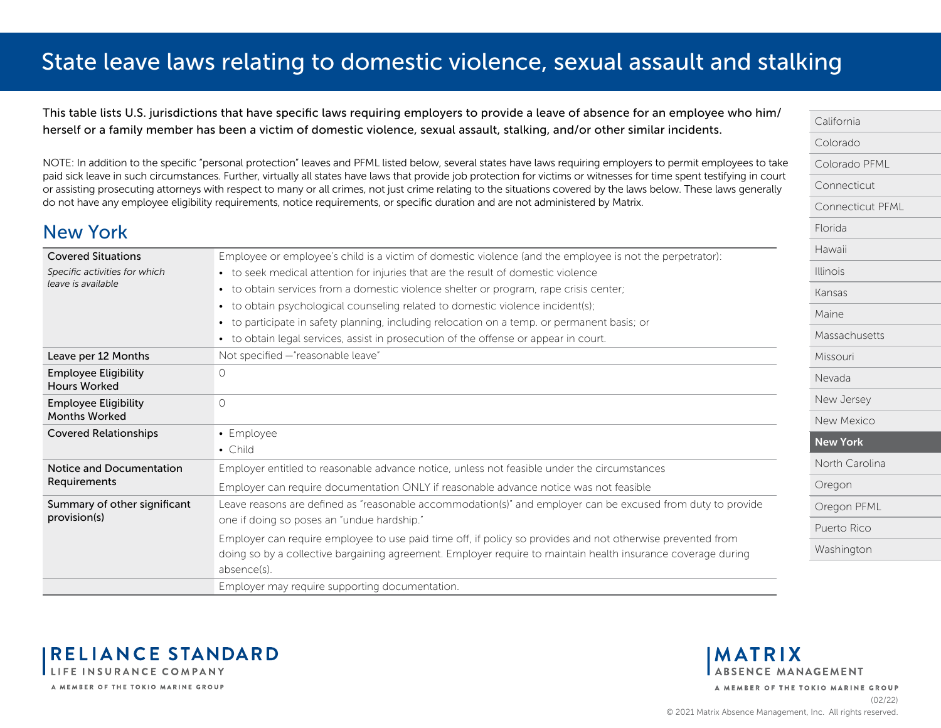<span id="page-15-0"></span>This table lists U.S. jurisdictions that have specific laws requiring employers to provide a leave of absence for an employee who him/ herself or a family member has been a victim of domestic violence, sexual assault, stalking, and/or other similar incidents.

NOTE: In addition to the specific "personal protection" leaves and PFML listed below, several states have laws requiring employers to permit employees to take paid sick leave in such circumstances. Further, virtually all states have laws that provide job protection for victims or witnesses for time spent testifying in court or assisting prosecuting attorneys with respect to many or all crimes, not just crime relating to the situations covered by the laws below. These laws generally do not have any employee eligibility requirements, notice requirements, or specific duration and are not administered by Matrix.

### New York

| <b>Covered Situations</b>                           | Employee or employee's child is a victim of domestic violence (and the employee is not the perpetrator):     |
|-----------------------------------------------------|--------------------------------------------------------------------------------------------------------------|
| Specific activities for which                       | • to seek medical attention for injuries that are the result of domestic violence                            |
| leave is available                                  | • to obtain services from a domestic violence shelter or program, rape crisis center;                        |
|                                                     | to obtain psychological counseling related to domestic violence incident(s);<br>$\bullet$                    |
|                                                     | to participate in safety planning, including relocation on a temp. or permanent basis; or                    |
|                                                     | to obtain legal services, assist in prosecution of the offense or appear in court.                           |
| Leave per 12 Months                                 | Not specified - "reasonable leave"                                                                           |
| <b>Employee Eligibility</b><br><b>Hours Worked</b>  | 0                                                                                                            |
|                                                     |                                                                                                              |
| <b>Employee Eligibility</b><br><b>Months Worked</b> | $\Omega$                                                                                                     |
| <b>Covered Relationships</b>                        | • Employee                                                                                                   |
|                                                     | $\bullet$ Child                                                                                              |
| Notice and Documentation                            | Employer entitled to reasonable advance notice, unless not feasible under the circumstances                  |
| Requirements                                        | Employer can require documentation ONLY if reasonable advance notice was not feasible                        |
| Summary of other significant                        | Leave reasons are defined as "reasonable accommodation(s)" and employer can be excused from duty to provide  |
| provision(s)                                        | one if doing so poses an "undue hardship."                                                                   |
|                                                     | Employer can require employee to use paid time off, if policy so provides and not otherwise prevented from   |
|                                                     | doing so by a collective bargaining agreement. Employer require to maintain health insurance coverage during |
|                                                     | absence(s).                                                                                                  |
|                                                     | Employer may require supporting documentation.                                                               |



**RELIANCE STANDARD** LIFE INSURANCE COMPANY A MEMBER OF THE TOKIO MARINE GROUP

**MATRIX ABSENCE MANAGEMENT**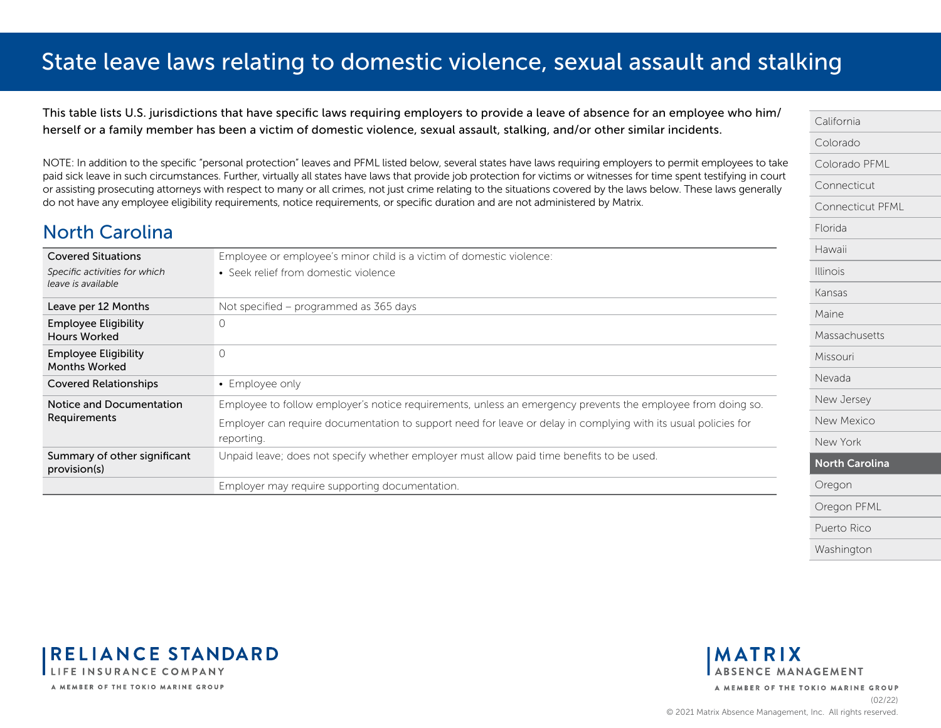<span id="page-16-0"></span>This table lists U.S. jurisdictions that have specific laws requiring employers to provide a leave of absence for an employee who him/ herself or a family member has been a victim of domestic violence, sexual assault, stalking, and/or other similar incidents.

NOTE: In addition to the specific "personal protection" leaves and PFML listed below, several states have laws requiring employers to permit employees to take paid sick leave in such circumstances. Further, virtually all states have laws that provide job protection for victims or witnesses for time spent testifying in court or assisting prosecuting attorneys with respect to many or all crimes, not just crime relating to the situations covered by the laws below. These laws generally do not have any employee eligibility requirements, notice requirements, or specific duration and are not administered by Matrix.

### North Carolina

| <b>Covered Situations</b><br>Specific activities for which | Employee or employee's minor child is a victim of domestic violence:<br>• Seek relief from domestic violence                 |  |
|------------------------------------------------------------|------------------------------------------------------------------------------------------------------------------------------|--|
| leave is available                                         |                                                                                                                              |  |
| Leave per 12 Months                                        | Not specified - programmed as 365 days                                                                                       |  |
| <b>Employee Eligibility</b><br><b>Hours Worked</b>         | 0                                                                                                                            |  |
| <b>Employee Eligibility</b><br><b>Months Worked</b>        | $\circ$                                                                                                                      |  |
| <b>Covered Relationships</b>                               | • Employee only                                                                                                              |  |
| Notice and Documentation                                   | Employee to follow employer's notice requirements, unless an emergency prevents the employee from doing so.                  |  |
| Requirements                                               | Employer can require documentation to support need for leave or delay in complying with its usual policies for<br>reporting. |  |
| Summary of other significant<br>provision(s)               | Unpaid leave; does not specify whether employer must allow paid time benefits to be used.                                    |  |
|                                                            | Employer may require supporting documentation.                                                                               |  |





**MATRIX ABSENCE MANAGEMENT**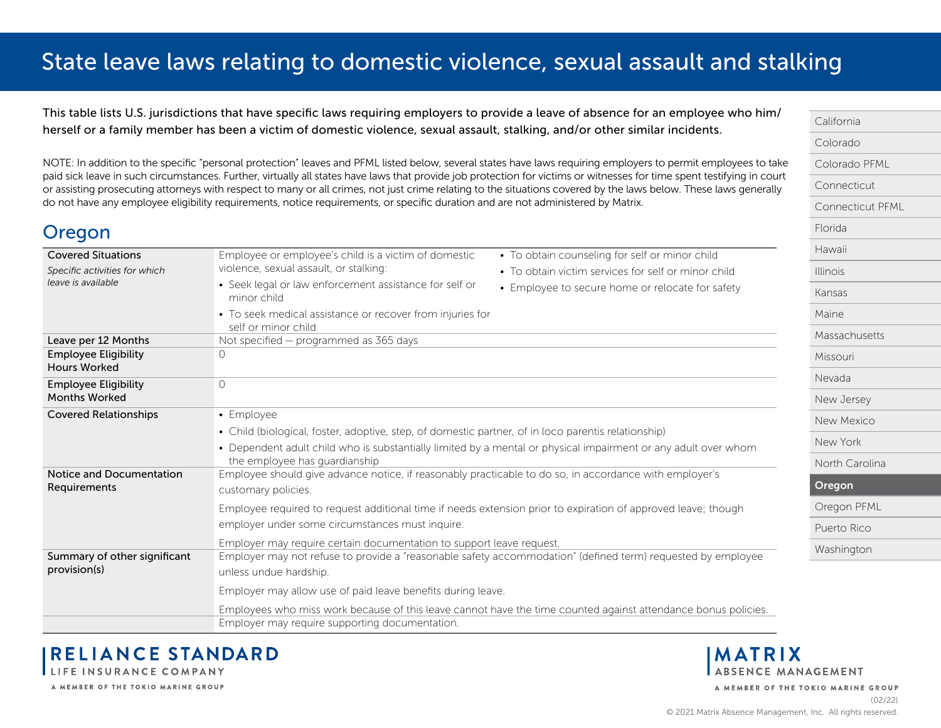<span id="page-17-0"></span>This table lists U.S. jurisdictions that have specific laws requiring employers to provide a leave of absence for an employee who him/ herself or a family member has been a victim of domestic violence, sexual assault, stalking, and/or other similar incidents.

NOTE: In addition to the specific "personal protection" leaves and PFML listed below, several states have laws requiring employers to permit employees to take paid sick leave in such circumstances. Further, virtually all states have laws that provide job protection for victims or witnesses for time spent testifying in court or assisting prosecuting attorneys with respect to many or all crimes, not just crime relating to the situations covered by the laws below. These laws generally do not have any employee eligibility requirements, notice requirements, or specific duration and are not administered by Matrix.

| Uregon                                                                           |                                                                                                                                                 |                                                                                                       |  |
|----------------------------------------------------------------------------------|-------------------------------------------------------------------------------------------------------------------------------------------------|-------------------------------------------------------------------------------------------------------|--|
| <b>Covered Situations</b><br>Specific activities for which<br>leave is available | Employee or employee's child is a victim of domestic<br>violence, sexual assault, or stalking:                                                  | • To obtain counseling for self or minor child<br>• To obtain victim services for self or minor child |  |
|                                                                                  | • Seek legal or law enforcement assistance for self or<br>minor child                                                                           | • Employee to secure home or relocate for safety                                                      |  |
|                                                                                  | • To seek medical assistance or recover from injuries for<br>self or minor child                                                                |                                                                                                       |  |
| Leave per 12 Months                                                              | Not specified - programmed as 365 days                                                                                                          |                                                                                                       |  |
| <b>Employee Eligibility</b><br><b>Hours Worked</b>                               | 0                                                                                                                                               |                                                                                                       |  |
| <b>Employee Eligibility</b><br><b>Months Worked</b>                              | $\Omega$                                                                                                                                        |                                                                                                       |  |
| <b>Covered Relationships</b>                                                     | • Employee                                                                                                                                      |                                                                                                       |  |
|                                                                                  | • Child (biological, foster, adoptive, step, of domestic partner, of in loco parentis relationship)                                             |                                                                                                       |  |
|                                                                                  | • Dependent adult child who is substantially limited by a mental or physical impairment or any adult over whom<br>the employee has guardianship |                                                                                                       |  |
| Notice and Documentation                                                         | Employee should give advance notice, if reasonably practicable to do so, in accordance with employer's                                          |                                                                                                       |  |
| Requirements                                                                     | customary policies.                                                                                                                             |                                                                                                       |  |
|                                                                                  | Employee required to request additional time if needs extension prior to expiration of approved leave; though                                   |                                                                                                       |  |
|                                                                                  | employer under some circumstances must inquire.                                                                                                 |                                                                                                       |  |
|                                                                                  | Employer may require certain documentation to support leave request.                                                                            |                                                                                                       |  |
| Summary of other significant<br>provision(s)                                     | Employer may not refuse to provide a "reasonable safety accommodation" (defined term) requested by employee                                     |                                                                                                       |  |
|                                                                                  | unless undue hardship.                                                                                                                          |                                                                                                       |  |
|                                                                                  | Employer may allow use of paid leave benefits during leave.                                                                                     |                                                                                                       |  |
|                                                                                  | Employees who miss work because of this leave cannot have the time counted against attendance bonus policies.                                   |                                                                                                       |  |
|                                                                                  | Employer may require supporting documentation.                                                                                                  |                                                                                                       |  |

[California](#page-0-0) [Colorado](#page-1-0) [Colorado PFML](#page-2-0) [Connecticut](#page-3-0) [Connecticut PFML](#page-4-0) [Florida](#page-5-0) [Hawaii](#page-6-0) [Illinois](#page-7-0) [Kansas](#page-8-0) [Maine](#page-9-0) [Massachusetts](#page-10-0) [Missouri](#page-11-0) [Nevada](#page-12-0) [New Jersey](#page-13-0) [New Mexico](#page-14-0) [New York](#page-15-0) [North Carolina](#page-16-0) Oregon [Oregon PFML](#page-18-0) [Puerto Rico](#page-19-0) [Washington](#page-20-0)

**RELIANCE STANDARD** LIFE INSURANCE COMPANY

A MEMBER OF THE TOKIO MARINE GROUP

 $\bigcap$ ugan

**MATRIX**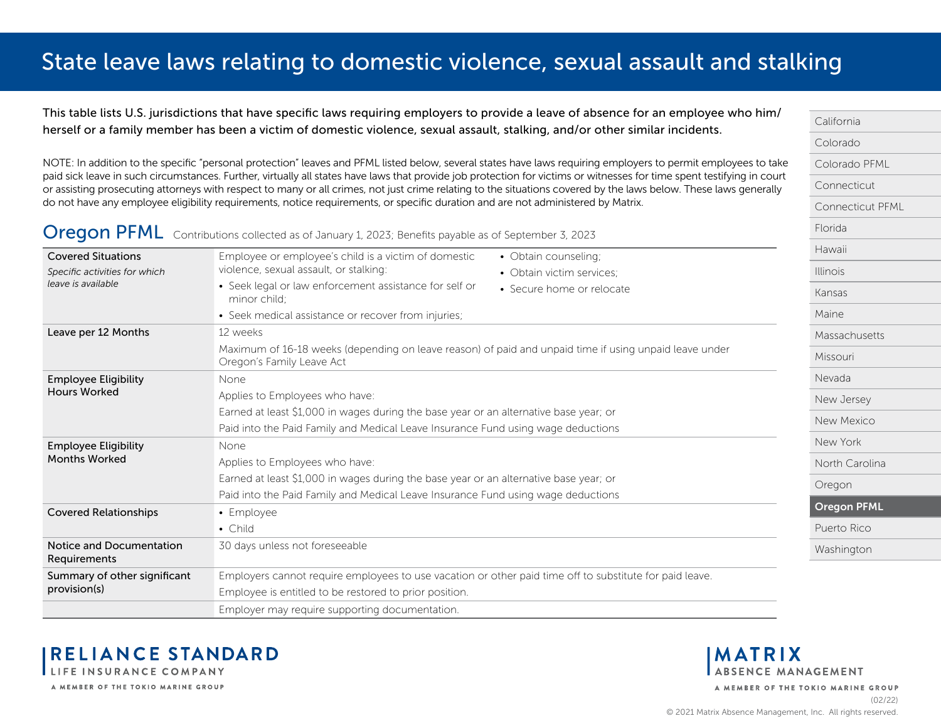<span id="page-18-0"></span>This table lists U.S. jurisdictions that have specific laws requiring employers to provide a leave of absence for an employee who him/ herself or a family member has been a victim of domestic violence, sexual assault, stalking, and/or other similar incidents.

NOTE: In addition to the specific "personal protection" leaves and PFML listed below, several states have laws requiring employers to permit employees to take paid sick leave in such circumstances. Further, virtually all states have laws that provide job protection for victims or witnesses for time spent testifying in court or assisting prosecuting attorneys with respect to many or all crimes, not just crime relating to the situations covered by the laws below. These laws generally do not have any employee eligibility requirements, notice requirements, or specific duration and are not administered by Matrix.

#### Oregon PFML Contributions collected as of January 1, 2023; Benefits payable as of September 3, 2023

| <b>Covered Situations</b>                           | Employee or employee's child is a victim of domestic<br>• Obtain counseling;                                                        |  |  |
|-----------------------------------------------------|-------------------------------------------------------------------------------------------------------------------------------------|--|--|
| Specific activities for which<br>leave is available | violence, sexual assault, or stalking:<br>• Obtain victim services;                                                                 |  |  |
|                                                     | • Seek legal or law enforcement assistance for self or<br>• Secure home or relocate<br>minor child:                                 |  |  |
|                                                     | • Seek medical assistance or recover from injuries;                                                                                 |  |  |
| Leave per 12 Months                                 | 12 weeks                                                                                                                            |  |  |
|                                                     | Maximum of 16-18 weeks (depending on leave reason) of paid and unpaid time if using unpaid leave under<br>Oregon's Family Leave Act |  |  |
| <b>Employee Eligibility</b>                         | None                                                                                                                                |  |  |
| <b>Hours Worked</b>                                 | Applies to Employees who have:                                                                                                      |  |  |
|                                                     | Earned at least \$1,000 in wages during the base year or an alternative base year; or                                               |  |  |
|                                                     | Paid into the Paid Family and Medical Leave Insurance Fund using wage deductions                                                    |  |  |
| <b>Employee Eligibility</b>                         | None                                                                                                                                |  |  |
| <b>Months Worked</b>                                | Applies to Employees who have:                                                                                                      |  |  |
|                                                     | Earned at least \$1,000 in wages during the base year or an alternative base year; or                                               |  |  |
|                                                     | Paid into the Paid Family and Medical Leave Insurance Fund using wage deductions                                                    |  |  |
| <b>Covered Relationships</b>                        | • Employee                                                                                                                          |  |  |
|                                                     | $\bullet$ Child                                                                                                                     |  |  |
| Notice and Documentation<br>Requirements            | 30 days unless not foreseeable                                                                                                      |  |  |
| Summary of other significant                        | Employers cannot require employees to use vacation or other paid time off to substitute for paid leave.                             |  |  |
| provision(s)                                        | Employee is entitled to be restored to prior position.                                                                              |  |  |
|                                                     | Employer may require supporting documentation.                                                                                      |  |  |



A MEMBER OF THE TOKIO MARINE GROUP

#### **MATRIX** ABSENCE MANAGEMENT

A MEMBER OF THE TOKIO MARINE GROUP

[California](#page-0-0) [Colorado](#page-1-0)

[Florida](#page-5-0) [Hawaii](#page-6-0) [Illinois](#page-7-0) [Kansas](#page-8-0) [Maine](#page-9-0)

[Colorado PFML](#page-2-0) [Connecticut](#page-3-0)

[Connecticut PFML](#page-4-0)

[Massachusetts](#page-10-0)

[Missouri](#page-11-0) [Nevada](#page-12-0)

[New Jersey](#page-13-0) [New Mexico](#page-14-0) [New York](#page-15-0)

[North Carolina](#page-16-0)

Oregon PFML [Puerto Rico](#page-19-0) [Washington](#page-20-0)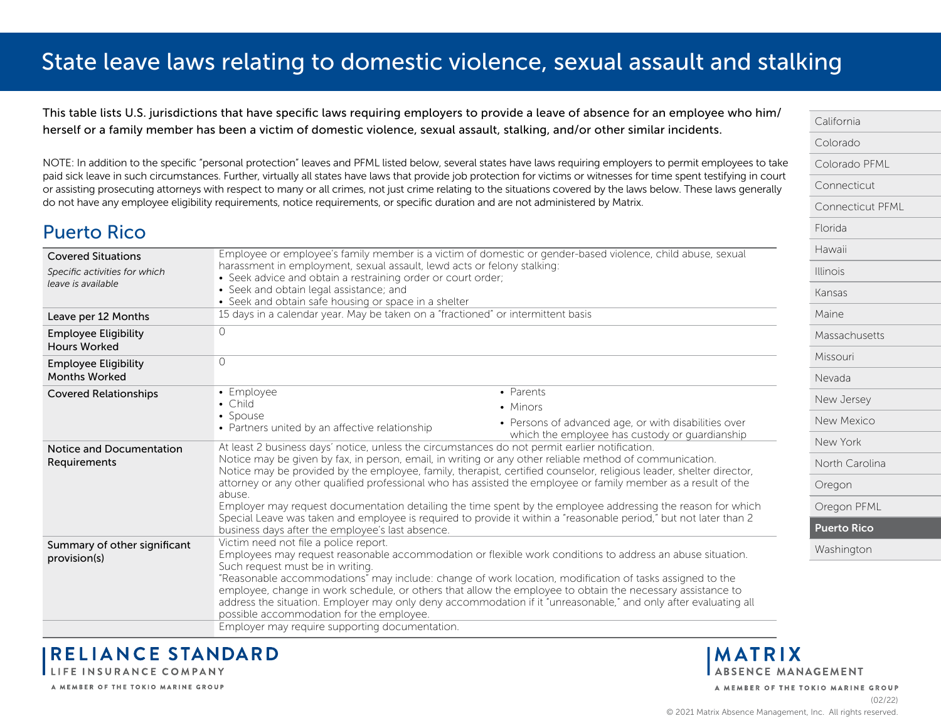<span id="page-19-0"></span>This table lists U.S. jurisdictions that have specific laws requiring employers to provide a leave of absence for an employee who him/ herself or a family member has been a victim of domestic violence, sexual assault, stalking, and/or other similar incidents.

NOTE: In addition to the specific "personal protection" leaves and PFML listed below, several states have laws requiring employers to permit employees to take paid sick leave in such circumstances. Further, virtually all states have laws that provide job protection for victims or witnesses for time spent testifying in court or assisting prosecuting attorneys with respect to many or all crimes, not just crime relating to the situations covered by the laws below. These laws generally do not have any employee eligibility requirements, notice requirements, or specific duration and are not administered by Matrix.

### Puerto Rico

| <b>Covered Situations</b><br>Specific activities for which<br>leave is available | Employee or employee's family member is a victim of domestic or gender-based violence, child abuse, sexual<br>harassment in employment, sexual assault, lewd acts or felony stalking:<br>• Seek advice and obtain a restraining order or court order;<br>• Seek and obtain legal assistance; and<br>• Seek and obtain safe housing or space in a shelter                                                                                                                                                                                                                                                                                                                                                                                             |                                                                                                        |  |
|----------------------------------------------------------------------------------|------------------------------------------------------------------------------------------------------------------------------------------------------------------------------------------------------------------------------------------------------------------------------------------------------------------------------------------------------------------------------------------------------------------------------------------------------------------------------------------------------------------------------------------------------------------------------------------------------------------------------------------------------------------------------------------------------------------------------------------------------|--------------------------------------------------------------------------------------------------------|--|
| Leave per 12 Months                                                              | 15 days in a calendar year. May be taken on a "fractioned" or intermittent basis                                                                                                                                                                                                                                                                                                                                                                                                                                                                                                                                                                                                                                                                     |                                                                                                        |  |
| <b>Employee Eligibility</b><br><b>Hours Worked</b>                               | $\Omega$                                                                                                                                                                                                                                                                                                                                                                                                                                                                                                                                                                                                                                                                                                                                             |                                                                                                        |  |
| <b>Employee Eligibility</b><br><b>Months Worked</b>                              | $\Omega$                                                                                                                                                                                                                                                                                                                                                                                                                                                                                                                                                                                                                                                                                                                                             |                                                                                                        |  |
| <b>Covered Relationships</b>                                                     | • Employee                                                                                                                                                                                                                                                                                                                                                                                                                                                                                                                                                                                                                                                                                                                                           | • Parents                                                                                              |  |
|                                                                                  | • Child                                                                                                                                                                                                                                                                                                                                                                                                                                                                                                                                                                                                                                                                                                                                              | • Minors                                                                                               |  |
|                                                                                  | • Spouse<br>• Partners united by an affective relationship                                                                                                                                                                                                                                                                                                                                                                                                                                                                                                                                                                                                                                                                                           | • Persons of advanced age, or with disabilities over<br>which the employee has custody or guardianship |  |
| Notice and Documentation<br>Requirements                                         | At least 2 business days' notice, unless the circumstances do not permit earlier notification.<br>Notice may be given by fax, in person, email, in writing or any other reliable method of communication.<br>Notice may be provided by the employee, family, therapist, certified counselor, religious leader, shelter director,<br>attorney or any other qualified professional who has assisted the employee or family member as a result of the<br>abuse.<br>Employer may request documentation detailing the time spent by the employee addressing the reason for which<br>Special Leave was taken and employee is required to provide it within a "reasonable period," but not later than 2<br>business days after the employee's last absence. |                                                                                                        |  |
| Summary of other significant<br>provision(s)                                     | Victim need not file a police report.<br>Employees may request reasonable accommodation or flexible work conditions to address an abuse situation.<br>Such request must be in writing.<br>"Reasonable accommodations" may include: change of work location, modification of tasks assigned to the<br>employee, change in work schedule, or others that allow the employee to obtain the necessary assistance to<br>address the situation. Employer may only deny accommodation if it "unreasonable," and only after evaluating all<br>possible accommodation for the employee.                                                                                                                                                                       |                                                                                                        |  |
|                                                                                  | Employer may require supporting documentation.                                                                                                                                                                                                                                                                                                                                                                                                                                                                                                                                                                                                                                                                                                       |                                                                                                        |  |

**RELIANCE STANDARD** LIFE INSURANCE COMPANY

A MEMBER OF THE TOKIO MARINE GROUP

[Massachusetts](#page-10-0) [Missouri](#page-11-0) [Nevada](#page-12-0) [New Jersey](#page-13-0) [New Mexico](#page-14-0) [New York](#page-15-0) [North Carolina](#page-16-0) [Oregon](#page-17-0) [Oregon PFML](#page-18-0) Puerto Rico [Washington](#page-20-0)

[California](#page-0-0) [Colorado](#page-1-0)

[Florida](#page-5-0) [Hawaii](#page-6-0) [Illinois](#page-7-0) [Kansas](#page-8-0) [Maine](#page-9-0)

[Colorado PFML](#page-2-0) [Connecticut](#page-3-0)

[Connecticut PFML](#page-4-0)

**MATRIX** ABSENCE MANAGEMENT